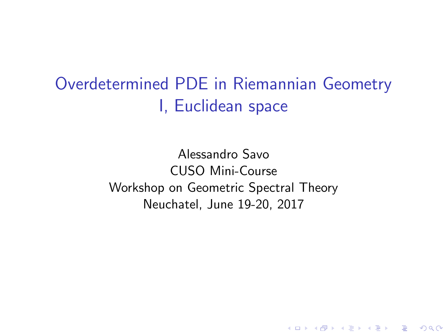<span id="page-0-0"></span>Overdetermined PDE in Riemannian Geometry I, Euclidean space

> Alessandro Savo CUSO Mini-Course Workshop on Geometric Spectral Theory Neuchatel, June 19-20, 2017

> > **KORK STRATER STRAKER**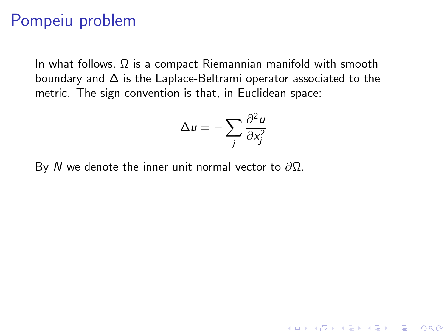#### Pompeiu problem

In what follows,  $\Omega$  is a compact Riemannian manifold with smooth boundary and  $\Delta$  is the Laplace-Beltrami operator associated to the metric. The sign convention is that, in Euclidean space:

$$
\Delta u = -\sum_{j} \frac{\partial^2 u}{\partial x_j^2}
$$

**K ロ ▶ K @ ▶ K 할 X X 할 X 및 할 X X Q Q O** 

By N we denote the inner unit normal vector to  $\partial \Omega$ .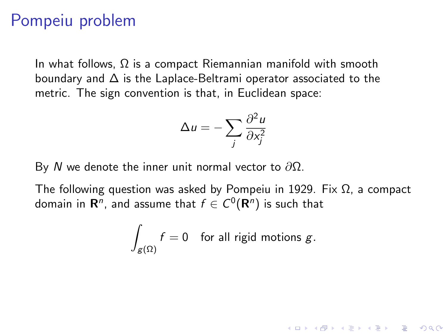#### Pompeiu problem

In what follows,  $\Omega$  is a compact Riemannian manifold with smooth boundary and  $\Delta$  is the Laplace-Beltrami operator associated to the metric. The sign convention is that, in Euclidean space:

$$
\Delta u = -\sum_{j} \frac{\partial^2 u}{\partial x_j^2}
$$

By N we denote the inner unit normal vector to  $\partial \Omega$ .

The following question was asked by Pompeiu in 1929. Fix  $\Omega$ , a compact domain in  $\mathsf{R}^n$ , and assume that  $f\in C^0(\mathsf{R}^n)$  is such that

$$
\int_{g(\Omega)} f = 0 \quad \text{for all rigid motions } g.
$$

**K ロ ▶ K @ ▶ K 할 X X 할 X 및 할 X X Q Q O**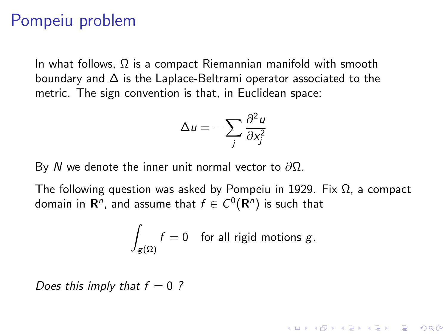#### Pompeiu problem

In what follows,  $\Omega$  is a compact Riemannian manifold with smooth boundary and  $\Delta$  is the Laplace-Beltrami operator associated to the metric. The sign convention is that, in Euclidean space:

$$
\Delta u = -\sum_{j} \frac{\partial^2 u}{\partial x_j^2}
$$

By N we denote the inner unit normal vector to  $\partial \Omega$ .

The following question was asked by Pompeiu in 1929. Fix  $\Omega$ , a compact domain in  $\mathsf{R}^n$ , and assume that  $f\in C^0(\mathsf{R}^n)$  is such that

$$
\int_{g(\Omega)} f = 0 \quad \text{for all rigid motions } g.
$$

**KORK ERKER ADE YOUR** 

Does this imply that  $f = 0$  ?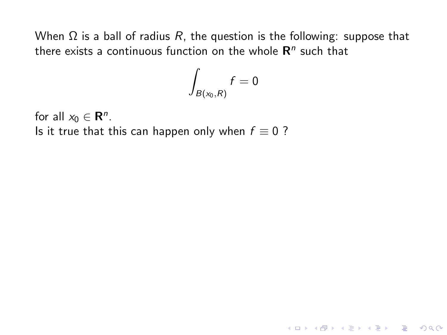$$
\int_{B(x_0,R)}f=0
$$

K ロ ▶ K @ ▶ K 할 ▶ K 할 ▶ | 할 | © 9 Q @

for all  $x_0 \in \mathbf{R}^n$ . Is it true that this can happen only when  $f \equiv 0$  ?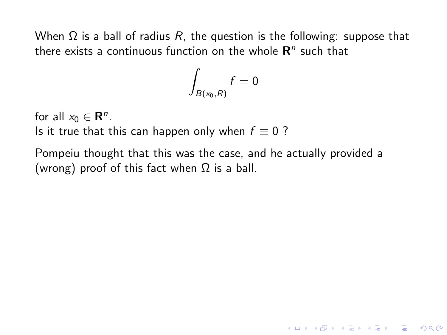$$
\int_{B(x_0,R)}f=0
$$

for all  $x_0 \in \mathbf{R}^n$ .

Is it true that this can happen only when  $f \equiv 0$  ?

Pompeiu thought that this was the case, and he actually provided a (wrong) proof of this fact when  $\Omega$  is a ball.

**KORK STRATER STRAKES**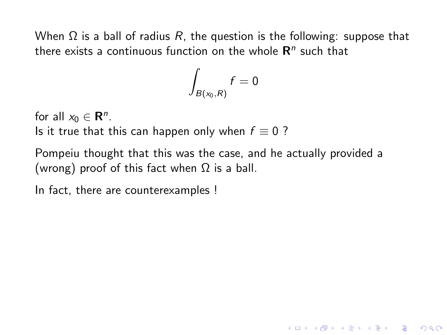$$
\int_{B(x_0,R)}f=0
$$

for all  $x_0 \in \mathbf{R}^n$ .

Is it true that this can happen only when  $f \equiv 0$  ?

Pompeiu thought that this was the case, and he actually provided a (wrong) proof of this fact when  $\Omega$  is a ball.

**KORK ERKER ADE YOUR** 

In fact, there are counterexamples !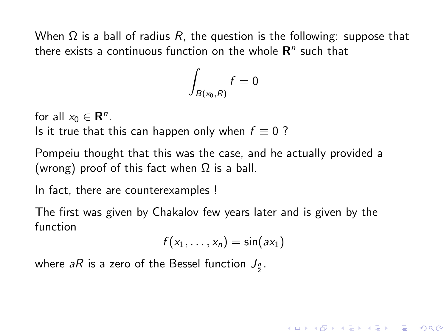$$
\int_{B(x_0,R)}f=0
$$

for all  $x_0 \in \mathbf{R}^n$ .

Is it true that this can happen only when  $f \equiv 0$  ?

Pompeiu thought that this was the case, and he actually provided a (wrong) proof of this fact when  $\Omega$  is a ball.

In fact, there are counterexamples !

The first was given by Chakalov few years later and is given by the function

$$
f(x_1,\ldots,x_n)=\sin(ax_1)
$$

**KORK ERKER ADE YOUR** 

where *aR* is a zero of the Bessel function  $J_{\frac{n}{2}}.$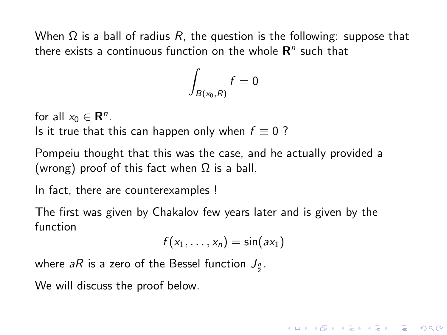$$
\int_{B(x_0,R)}f=0
$$

for all  $x_0 \in \mathbf{R}^n$ .

Is it true that this can happen only when  $f \equiv 0$  ?

Pompeiu thought that this was the case, and he actually provided a (wrong) proof of this fact when  $\Omega$  is a ball.

In fact, there are counterexamples !

The first was given by Chakalov few years later and is given by the function

$$
f(x_1,\ldots,x_n)=\sin(ax_1)
$$

**KORK ERKER ADE YOUR** 

where *aR* is a zero of the Bessel function  $J_{\frac{n}{2}}.$ 

We will discuss the proof below.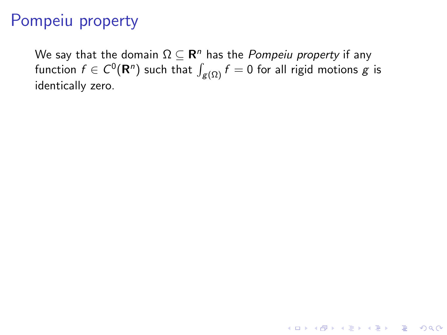We say that the domain  $\Omega\subseteq \hbox{\bf R}^n$  has the *Pompeiu property* if any function  $f\in C^0(\mathbf{R}^n)$  such that  $\int_{\mathcal{g}(\Omega)}f=0$  for all rigid motions  $g$  is identically zero.

**K ロ ▶ K @ ▶ K 할 X X 할 X 및 할 X X Q Q O**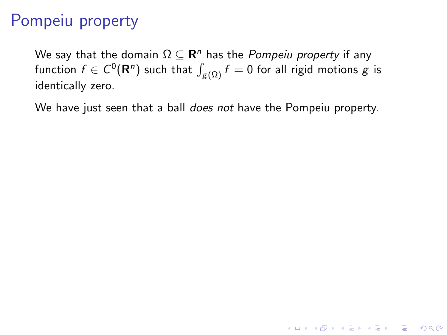We say that the domain  $\Omega\subseteq \hbox{\bf R}^n$  has the *Pompeiu property* if any function  $f\in C^0(\mathbf{R}^n)$  such that  $\int_{\mathcal{g}(\Omega)}f=0$  for all rigid motions  $g$  is identically zero.

We have just seen that a ball does not have the Pompeiu property.

**K ロ ▶ K @ ▶ K 할 X X 할 X 및 할 X X Q Q O**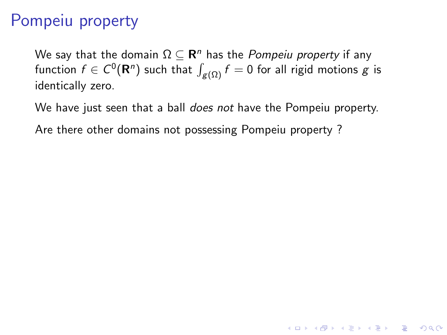We say that the domain  $\Omega\subseteq \hbox{\bf R}^n$  has the *Pompeiu property* if any function  $f\in C^0(\mathbf{R}^n)$  such that  $\int_{\mathcal{g}(\Omega)}f=0$  for all rigid motions  $g$  is identically zero.

We have just seen that a ball *does not* have the Pompeiu property.

**K ロ ▶ K @ ▶ K 할 X X 할 X 및 할 X X Q Q O** 

Are there other domains not possessing Pompeiu property ?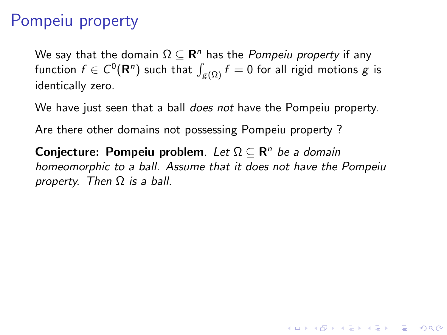We say that the domain  $\Omega\subseteq \hbox{\bf R}^n$  has the *Pompeiu property* if any function  $f\in C^0(\mathbf{R}^n)$  such that  $\int_{\mathcal{g}(\Omega)}f=0$  for all rigid motions  $g$  is identically zero.

We have just seen that a ball *does not* have the Pompeiu property.

Are there other domains not possessing Pompeiu property ?

Conjecture: Pompeiu problem. Let  $\Omega \subseteq \mathbb{R}^n$  be a domain homeomorphic to a ball. Assume that it does not have the Pompeiu property. Then  $\Omega$  is a ball.

**KORK ERKER ADE YOUR**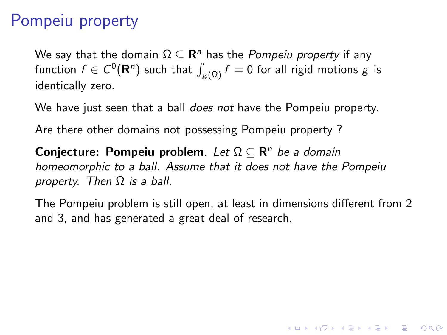We say that the domain  $\Omega\subseteq \hbox{\bf R}^n$  has the *Pompeiu property* if any function  $f\in C^0(\mathbf{R}^n)$  such that  $\int_{\mathcal{g}(\Omega)}f=0$  for all rigid motions  $g$  is identically zero.

We have just seen that a ball *does not* have the Pompeiu property.

Are there other domains not possessing Pompeiu property ?

Conjecture: Pompeiu problem. Let  $\Omega \subseteq \mathbb{R}^n$  be a domain homeomorphic to a ball. Assume that it does not have the Pompeiu property. Then  $\Omega$  is a ball.

The Pompeiu problem is still open, at least in dimensions different from 2 and 3, and has generated a great deal of research.

**KORKAR KERKER E VOOR**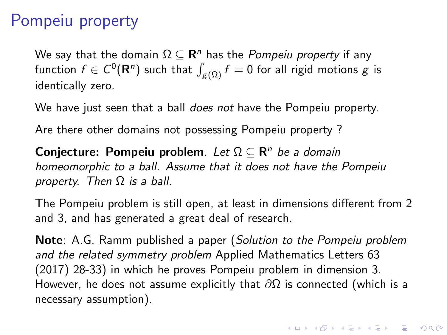We say that the domain  $\Omega\subseteq \hbox{\bf R}^n$  has the *Pompeiu property* if any function  $f\in C^0(\mathbf{R}^n)$  such that  $\int_{\mathcal{g}(\Omega)}f=0$  for all rigid motions  $g$  is identically zero.

We have just seen that a ball *does not* have the Pompeiu property.

Are there other domains not possessing Pompeiu property ?

Conjecture: Pompeiu problem. Let  $\Omega \subseteq \mathbb{R}^n$  be a domain homeomorphic to a ball. Assume that it does not have the Pompeiu property. Then  $\Omega$  is a ball.

The Pompeiu problem is still open, at least in dimensions different from 2 and 3, and has generated a great deal of research.

Note: A.G. Ramm published a paper (Solution to the Pompeiu problem and the related symmetry problem Applied Mathematics Letters 63 (2017) 28-33) in which he proves Pompeiu problem in dimension 3. However, he does not assume explicitly that  $\partial\Omega$  is connected (which is a necessary assumption).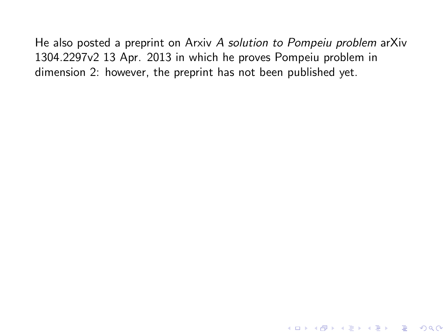He also posted a preprint on Arxiv A solution to Pompeiu problem arXiv 1304.2297v2 13 Apr. 2013 in which he proves Pompeiu problem in dimension 2: however, the preprint has not been published yet.

K ロ ▶ K @ ▶ K 할 X X 할 X | 할 X 1 9 Q Q ^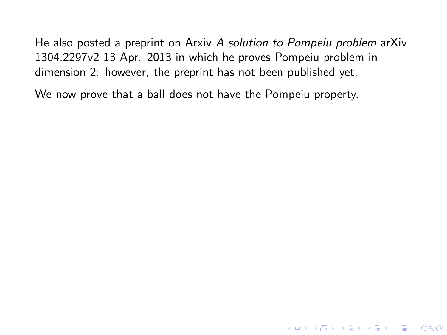He also posted a preprint on Arxiv A solution to Pompeiu problem arXiv 1304.2297v2 13 Apr. 2013 in which he proves Pompeiu problem in dimension 2: however, the preprint has not been published yet.

**KORK STRATER STRAKES** 

We now prove that a ball does not have the Pompeiu property.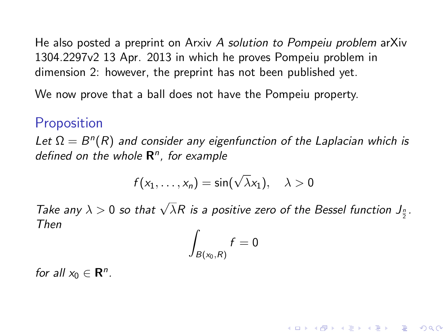<span id="page-17-0"></span>He also posted a preprint on Arxiv A solution to Pompeiu problem arXiv 1304.2297v2 13 Apr. 2013 in which he proves Pompeiu problem in dimension 2: however, the preprint has not been published yet.

We now prove that a ball does not have the Pompeiu property.

#### Proposition

Let  $\Omega = B^{n}(R)$  and consider any eigenfunction of the Laplacian which is defined on the whole  $\mathbb{R}^n$ , for example

$$
f(x_1,\ldots,x_n)=\sin(\sqrt{\lambda}x_1),\quad \lambda>0
$$

Take any  $\lambda > 0$  so that  $\sqrt{\lambda}R$  is a positive zero of the Bessel function  $J_{\frac{n}{2}}$ . Then

$$
\int_{B(x_0,R)} f = 0
$$

**KORKAR KERKER E VOOR** 

for all  $x_0 \in \mathbb{R}^n$ .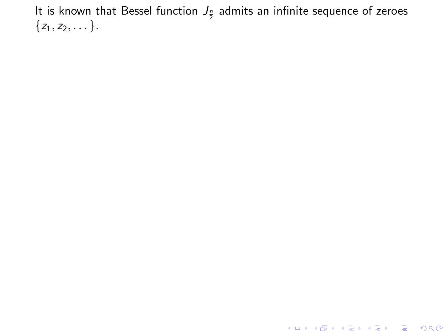<span id="page-18-0"></span>**K ロ ▶ K 레 ▶ K 로 ▶ K 로 ▶ - 로 - K 이 이 이 이**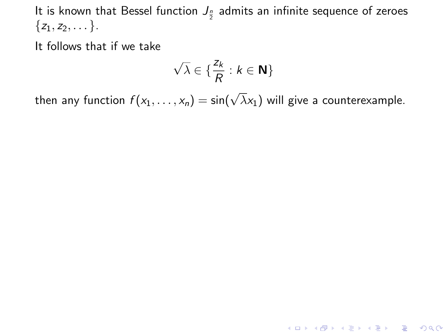It follows that if we take

$$
\sqrt{\lambda} \in \{ \frac{z_k}{R} : k \in \mathbf{N} \}
$$

then any function  $f(x_1,\ldots,x_n)=\sin(\sqrt{\lambda}x_1)$  will give a counterexample.

**K ロ ▶ K 御 ▶ K 할 ▶ K 할 ▶ 이 할 → 이익단**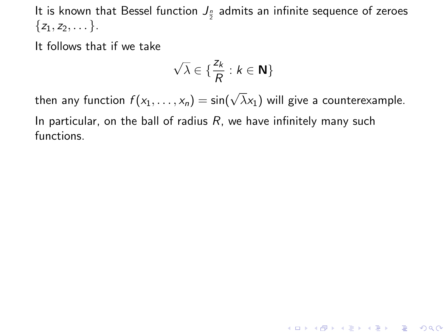It follows that if we take

$$
\sqrt{\lambda} \in \{ \frac{z_k}{R} : k \in \mathbf{N} \}
$$

then any function  $f(x_1,\ldots,x_n)=\sin(\sqrt{\lambda}x_1)$  will give a counterexample. In particular, on the ball of radius  $R$ , we have infinitely many such functions.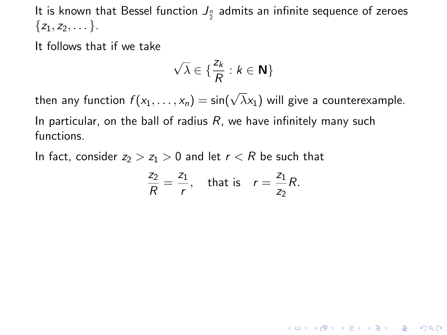It follows that if we take

$$
\sqrt{\lambda} \in \{ \frac{z_k}{R} : k \in \mathbf{N} \}
$$

then any function  $f(x_1,\ldots,x_n)=\sin(\sqrt{\lambda}x_1)$  will give a counterexample. In particular, on the ball of radius  $R$ , we have infinitely many such functions.

In fact, consider  $z_2 > z_1 > 0$  and let  $r < R$  be such that

$$
\frac{z_2}{R} = \frac{z_1}{r}, \quad \text{that is} \quad r = \frac{z_1}{z_2}R.
$$

KID KA KERKER KID KO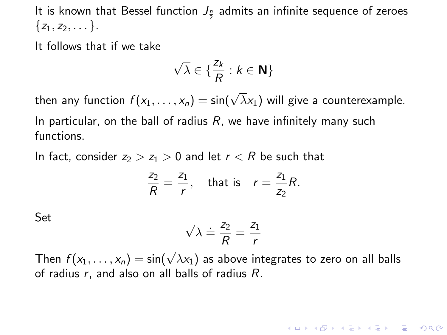<span id="page-22-0"></span>It follows that if we take

$$
\sqrt{\lambda} \in \{ \frac{z_k}{R} : k \in \mathbf{N} \}
$$

then any function  $f(x_1,\ldots,x_n)=\sin(\sqrt{\lambda}x_1)$  will give a counterexample. In particular, on the ball of radius  $R$ , we have infinitely many such functions.

In fact, consider  $z_2 > z_1 > 0$  and let  $r < R$  be such that

$$
\frac{z_2}{R} = \frac{z_1}{r}, \quad \text{that is} \quad r = \frac{z_1}{z_2}R.
$$

Set

$$
\sqrt{\lambda} \doteq \frac{z_2}{R} = \frac{z_1}{r}
$$

Then  $f(x_1, \ldots, x_n) = \sin(\sqrt{\lambda}x_1)$  as above integrates to zero on all balls of radius  $r$ , and also on all balls of radius  $R$ .

4 D > 4 P + 4 B + 4 B + B + 9 Q O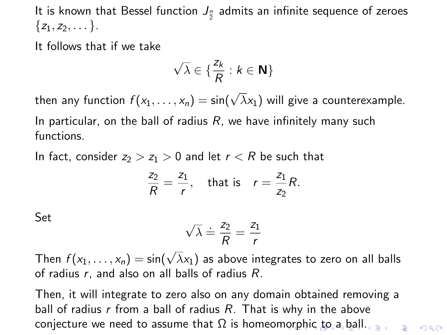<span id="page-23-0"></span>It follows that if we take

$$
\sqrt{\lambda} \in \{ \frac{z_k}{R} : k \in \mathbf{N} \}
$$

then any function  $f(x_1,\ldots,x_n)=\sin(\sqrt{\lambda}x_1)$  will give a counterexample. In particular, on the ball of radius  $R$ , we have infinitely many such functions.

In fact, consider  $z_2 > z_1 > 0$  and let  $r < R$  be such that

$$
\frac{z_2}{R} = \frac{z_1}{r}, \quad \text{that is} \quad r = \frac{z_1}{z_2}R.
$$

Set

$$
\sqrt{\lambda} \doteq \frac{z_2}{R} = \frac{z_1}{r}
$$

Then  $f(x_1, \ldots, x_n) = \sin(\sqrt{\lambda}x_1)$  as above integrates to zero on all balls of radius  $r$ , and also on all balls of radius  $R$ .

Then, it will integrate to zero also on any domain obtained removing a ball of radius  $r$  from a ball of radius  $R$ . That is why in the above [c](#page-17-0)onjecturewe need [t](#page-18-0)[o](#page-23-0) assume that  $\Omega$  is homeo[mor](#page-22-0)[phi](#page-24-0)c to [a b](#page-0-0)[all](#page-111-0)[.](#page-0-0)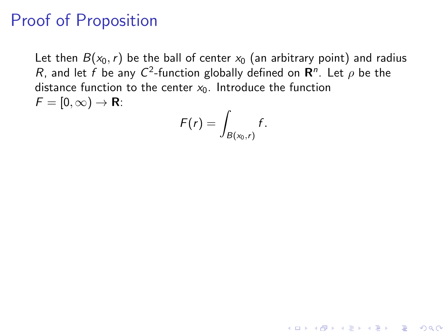# <span id="page-24-0"></span>Proof of Proposition

Let then  $B(x_0, r)$  be the ball of center  $x_0$  (an arbitrary point) and radius R, and let f be any  $C^2$ -function globally defined on  $\mathbf{R}^n$ . Let  $\rho$  be the distance function to the center  $x_0$ . Introduce the function  $F = [0, \infty) \rightarrow \mathbf{R}$ :

$$
F(r)=\int_{B(x_0,r)}f.
$$

**K ロ ▶ K @ ▶ K 할 X X 할 X → 할 X → 9 Q Q ^**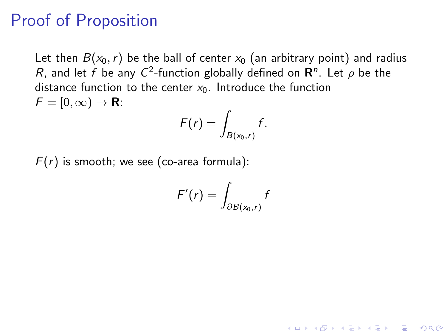### Proof of Proposition

Let then  $B(x_0, r)$  be the ball of center  $x_0$  (an arbitrary point) and radius R, and let f be any  $C^2$ -function globally defined on  $\mathbf{R}^n$ . Let  $\rho$  be the distance function to the center  $x_0$ . Introduce the function  $F = [0, \infty) \rightarrow \mathbf{R}$ :

$$
F(r)=\int_{B(x_0,r)}f.
$$

 $F(r)$  is smooth; we see (co-area formula):

$$
F'(r) = \int_{\partial B(x_0,r)} f
$$

**KORKAR KERKER EL VOLO**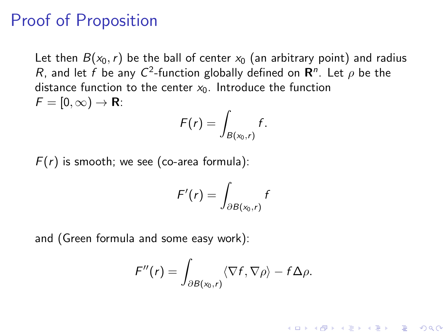#### Proof of Proposition

Let then  $B(x_0, r)$  be the ball of center  $x_0$  (an arbitrary point) and radius R, and let f be any  $C^2$ -function globally defined on  $\mathbf{R}^n$ . Let  $\rho$  be the distance function to the center  $x_0$ . Introduce the function  $F = [0, \infty) \rightarrow \mathbf{R}$ :

$$
F(r)=\int_{B(x_0,r)}f.
$$

 $F(r)$  is smooth; we see (co-area formula):

$$
F'(r) = \int_{\partial B(x_0,r)} f
$$

and (Green formula and some easy work):

$$
\digamma''(r) = \int_{\partial B(x_0,r)} \langle \nabla f, \nabla \rho \rangle - f \Delta \rho.
$$

**KORKAR KERKER EL VOLO**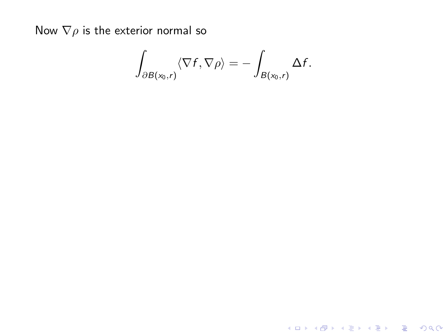$$
\int_{\partial B(x_0,r)} \langle \nabla f, \nabla \rho \rangle = - \int_{B(x_0,r)} \Delta f.
$$

**K ロ ▶ K 레 ▶ K 로 ▶ K 로 ▶ - 로 - K 이 이 이 이**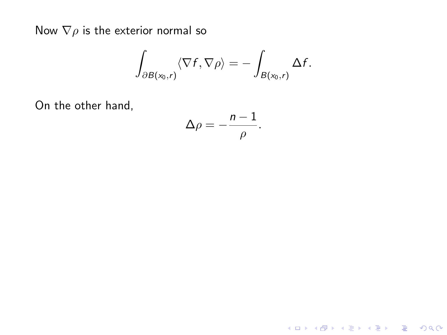$$
\int_{\partial B(x_0,r)} \langle \nabla f, \nabla \rho \rangle = - \int_{B(x_0,r)} \Delta f.
$$

On the other hand,

$$
\Delta \rho = -\frac{n-1}{\rho}.
$$

K ロ X K 메 X K B X X B X X D X O Q Q O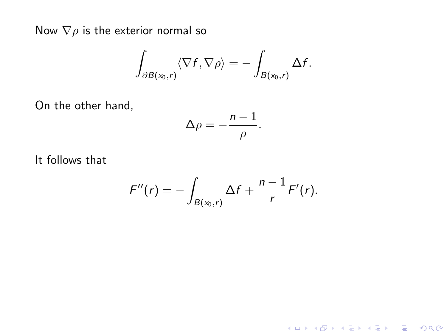$$
\int_{\partial B(x_0,r)} \langle \nabla f, \nabla \rho \rangle = - \int_{B(x_0,r)} \Delta f.
$$

On the other hand,

$$
\Delta \rho = -\frac{n-1}{\rho}.
$$

It follows that

$$
F''(r)=-\int_{B(x_0,r)}\Delta f+\frac{n-1}{r}F'(r).
$$

K ロ ▶ K @ ▶ K 할 ▶ K 할 ▶ | 할 | K 9 Q Q ·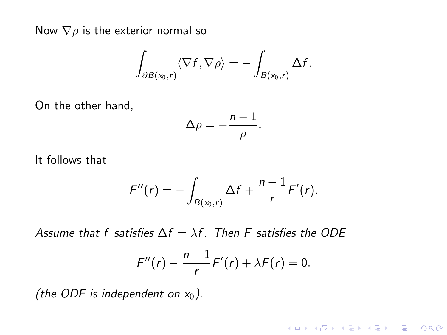$$
\int_{\partial B(x_0,r)} \langle \nabla f, \nabla \rho \rangle = - \int_{B(x_0,r)} \Delta f.
$$

On the other hand,

$$
\Delta \rho = -\frac{n-1}{\rho}.
$$

It follows that

$$
F''(r) = -\int_{B(x_0,r)} \Delta f + \frac{n-1}{r} F'(r).
$$

Assume that f satisfies  $\Delta f = \lambda f$ . Then F satisfies the ODE

$$
F''(r)-\frac{n-1}{r}F'(r)+\lambda F(r)=0.
$$

K ロ ▶ K @ ▶ K 할 ▶ K 할 ▶ | 할 | © 9 Q @

(the ODE is independent on  $x_0$ ).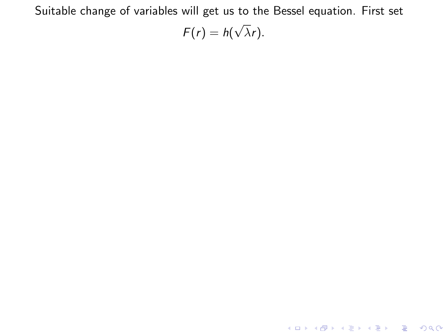Suitable change of variables will get us to the Bessel equation. First set  $F(r) = h(r)$ √  $\lambda r$ ).

**K ロ ▶ K 레 ▶ K 로 ▶ K 로 ▶ - 로 - K 이 이 이 이**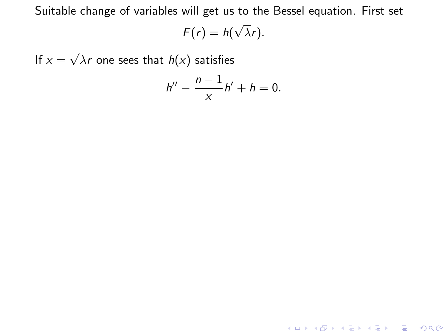Suitable change of variables will get us to the Bessel equation. First set

$$
F(r) = h(\sqrt{\lambda}r).
$$

If  $x =$ √  $\lambda$ r one sees that  $h(\mathsf{x})$  satisfies

$$
h''-\frac{n-1}{x}h'+h=0.
$$

**K ロ ▶ K 레 ▶ K 코 ▶ K 코 ▶ 『코』 ◆ 9 Q @**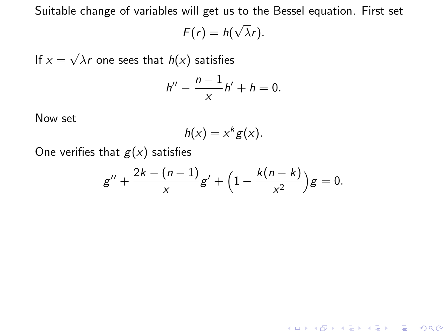Suitable change of variables will get us to the Bessel equation. First set

$$
F(r) = h(\sqrt{\lambda}r).
$$

If  $x =$ √  $\lambda$ r one sees that  $h(\mathsf{x})$  satisfies

$$
h''-\frac{n-1}{x}h'+h=0.
$$

Now set

$$
h(x)=x^kg(x).
$$

One verifies that  $g(x)$  satisfies

$$
g'' + \frac{2k - (n-1)}{x}g' + \Big(1 - \frac{k(n-k)}{x^2}\Big)g = 0.
$$

K ロ X K (P) X (E) X (E) X (E) X (P) Q (P)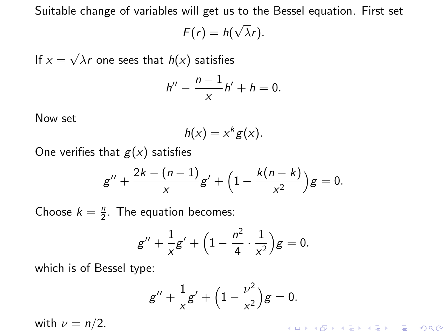Suitable change of variables will get us to the Bessel equation. First set

$$
F(r) = h(\sqrt{\lambda}r).
$$

If  $x =$ √  $\lambda$ r one sees that  $h(\mathsf{x})$  satisfies

$$
h''-\frac{n-1}{x}h'+h=0.
$$

Now set

$$
h(x)=x^kg(x).
$$

One verifies that  $g(x)$  satisfies

$$
g'' + \frac{2k - (n-1)}{x}g' + \Big(1 - \frac{k(n-k)}{x^2}\Big)g = 0.
$$

Choose  $k = \frac{n}{2}$ . The equation becomes:

$$
g'' + \frac{1}{x}g' + \Big(1 - \frac{n^2}{4} \cdot \frac{1}{x^2}\Big)g = 0.
$$

which is of Bessel type:

$$
g'' + \frac{1}{x}g' + \left(1 - \frac{\nu^2}{x^2}\right)g = 0.
$$

with  $\nu = n/2$ .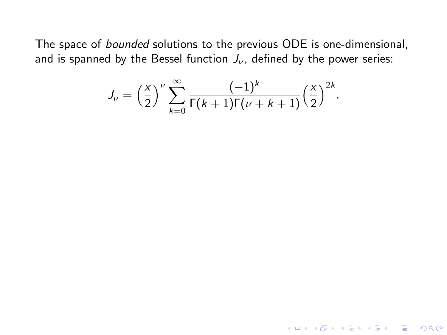The space of bounded solutions to the previous ODE is one-dimensional, and is spanned by the Bessel function  $J_{\nu}$ , defined by the power series:

$$
J_{\nu} = \left(\frac{x}{2}\right)^{\nu} \sum_{k=0}^{\infty} \frac{(-1)^k}{\Gamma(k+1)\Gamma(\nu+k+1)} \left(\frac{x}{2}\right)^{2k}.
$$

K ロ ▶ K @ ▶ K 할 X X 할 X | 할 X 1 9 Q Q ^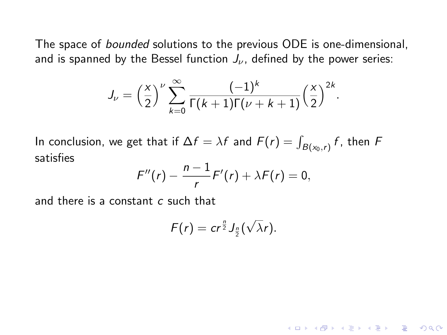The space of bounded solutions to the previous ODE is one-dimensional, and is spanned by the Bessel function  $J_{\nu}$ , defined by the power series:

$$
J_{\nu} = \left(\frac{x}{2}\right)^{\nu} \sum_{k=0}^{\infty} \frac{(-1)^k}{\Gamma(k+1)\Gamma(\nu+k+1)} \left(\frac{x}{2}\right)^{2k}.
$$

In conclusion, we get that if  $\Delta f = \lambda f$  and  $F(r) = \int_{B(x_0,r)} f$ , then  $F$ satisfies

$$
F''(r)-\frac{n-1}{r}F'(r)+\lambda F(r)=0,
$$

and there is a constant  $c$  such that

$$
F(r)=cr^{\frac{n}{2}}J_{\frac{n}{2}}(\sqrt{\lambda}r).
$$

**KORK EX KEY CRACK**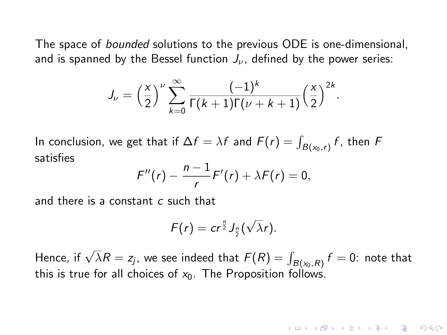The space of *bounded* solutions to the previous ODE is one-dimensional, and is spanned by the Bessel function  $J_{\nu}$ , defined by the power series:

$$
J_{\nu} = \left(\frac{x}{2}\right)^{\nu} \sum_{k=0}^{\infty} \frac{(-1)^k}{\Gamma(k+1)\Gamma(\nu+k+1)} \left(\frac{x}{2}\right)^{2k}.
$$

In conclusion, we get that if  $\Delta f = \lambda f$  and  $F(r) = \int_{B(x_0,r)} f$ , then  $F$ satisfies

$$
F''(r)-\frac{n-1}{r}F'(r)+\lambda F(r)=0,
$$

and there is a constant c such that

$$
F(r)=cr^{\frac{n}{2}}J_{\frac{n}{2}}(\sqrt{\lambda}r).
$$

Hence, if  $\sqrt{\lambda}R=z_j$ , we see indeed that  $\bar{F}(R)=\int_{B(x_0,R)}f=0$ : note that this is true for all choices of  $x_0$ . The Proposition follows.

**KORKAR KERKER EL VOLO**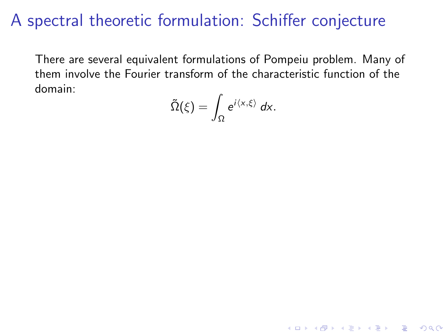## A spectral theoretic formulation: Schiffer conjecture

There are several equivalent formulations of Pompeiu problem. Many of them involve the Fourier transform of the characteristic function of the domain:

$$
\tilde{\Omega}(\xi)=\int_{\Omega} e^{i\langle x,\xi\rangle}\,dx.
$$

**KORK STRATER STRAKER**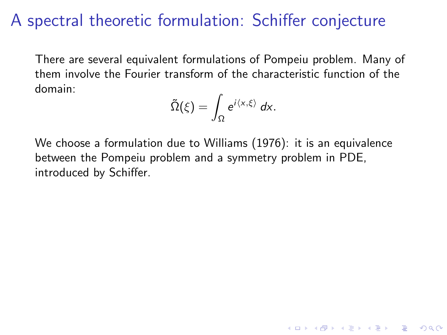## A spectral theoretic formulation: Schiffer conjecture

There are several equivalent formulations of Pompeiu problem. Many of them involve the Fourier transform of the characteristic function of the domain:

$$
\tilde{\Omega}(\xi)=\int_{\Omega}e^{i\langle x,\xi\rangle}\,dx.
$$

**KORKA SERKER ORA** 

We choose a formulation due to Williams (1976): it is an equivalence between the Pompeiu problem and a symmetry problem in PDE, introduced by Schiffer.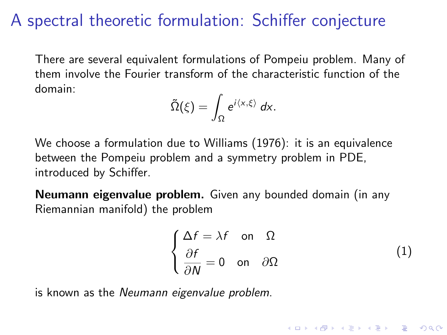# A spectral theoretic formulation: Schiffer conjecture

There are several equivalent formulations of Pompeiu problem. Many of them involve the Fourier transform of the characteristic function of the domain:

$$
\tilde{\Omega}(\xi)=\int_{\Omega}e^{i\langle x,\xi\rangle}\,dx.
$$

We choose a formulation due to Williams (1976): it is an equivalence between the Pompeiu problem and a symmetry problem in PDE, introduced by Schiffer.

Neumann eigenvalue problem. Given any bounded domain (in any Riemannian manifold) the problem

$$
\begin{cases}\n\Delta f = \lambda f & \text{on } \Omega \\
\frac{\partial f}{\partial N} = 0 & \text{on } \partial \Omega\n\end{cases}
$$
\n(1)

**KORKA SERKER ORA** 

is known as the Neumann eigenvalue problem.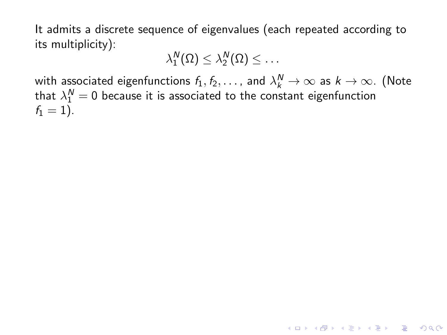It admits a discrete sequence of eigenvalues (each repeated according to its multiplicity):

<span id="page-41-0"></span>
$$
\lambda_1^N(\Omega)\leq \lambda_2^N(\Omega)\leq \ldots
$$

with associated eigenfunctions  $f_1, f_2, \ldots$  , and  $\lambda^N_k \to \infty$  as  $k \to \infty$ . (Note that  $\lambda_1^{\bm{\mathsf{N}}} = 0$  because it is associated to the constant eigenfunction  $f_1 = 1$ ).

**KORKAR KERKER E VOOR**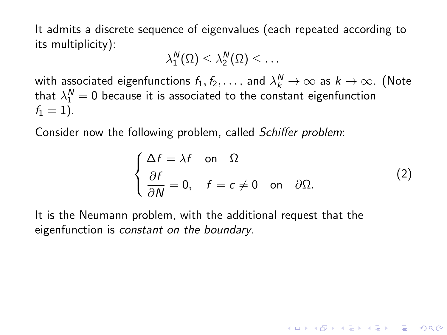It admits a discrete sequence of eigenvalues (each repeated according to its multiplicity):

$$
\lambda_1^N(\Omega)\leq \lambda_2^N(\Omega)\leq \ldots
$$

with associated eigenfunctions  $f_1, f_2, \ldots$  , and  $\lambda^N_k \to \infty$  as  $k \to \infty$ . (Note that  $\lambda_1^{\bm{\mathsf{N}}} = 0$  because it is associated to the constant eigenfunction  $f_1 = 1$ ).

Consider now the following problem, called Schiffer problem:

$$
\begin{cases}\n\Delta f = \lambda f & \text{on } \Omega \\
\frac{\partial f}{\partial N} = 0, & f = c \neq 0 \text{ on } \partial \Omega.\n\end{cases}
$$
\n(2)

KID KA KERKER E VOOR

It is the Neumann problem, with the additional request that the eigenfunction is constant on the boundary.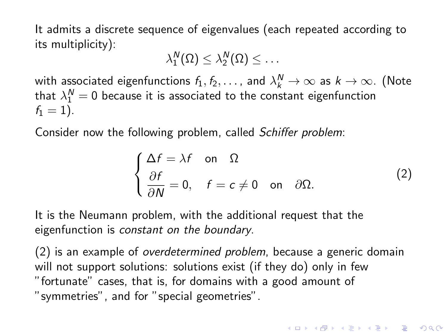It admits a discrete sequence of eigenvalues (each repeated according to its multiplicity):

$$
\lambda_1^N(\Omega)\leq \lambda_2^N(\Omega)\leq \ldots
$$

with associated eigenfunctions  $f_1, f_2, \ldots$  , and  $\lambda^N_k \to \infty$  as  $k \to \infty$ . (Note that  $\lambda_1^{\bm{\mathsf{N}}} = 0$  because it is associated to the constant eigenfunction  $f_1 = 1$ ).

Consider now the following problem, called Schiffer problem:

$$
\begin{cases}\n\Delta f = \lambda f & \text{on } \Omega \\
\frac{\partial f}{\partial N} = 0, & f = c \neq 0 \text{ on } \partial \Omega.\n\end{cases}
$$
\n(2)

**KORK (FRAGE) EL POLO** 

It is the Neumann problem, with the additional request that the eigenfunction is constant on the boundary.

[\(2\)](#page-41-0) is an example of overdetermined problem, because a generic domain will not support solutions: solutions exist (if they do) only in few "fortunate" cases, that is, for domains with a good amount of "symmetries", and for "special geometries".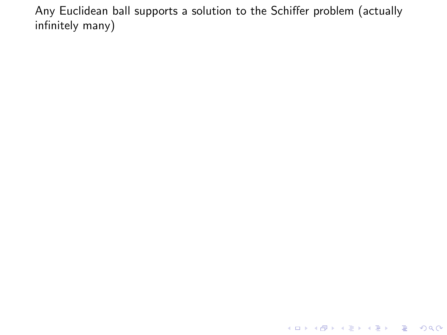K ロ ▶ K @ ▶ K 할 ▶ K 할 ▶ 이 할 → 9 Q @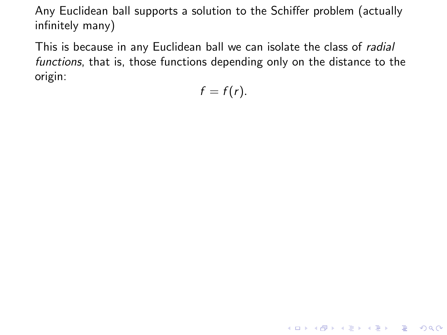This is because in any Euclidean ball we can isolate the class of *radial* functions, that is, those functions depending only on the distance to the origin:

 $f = f(r)$ .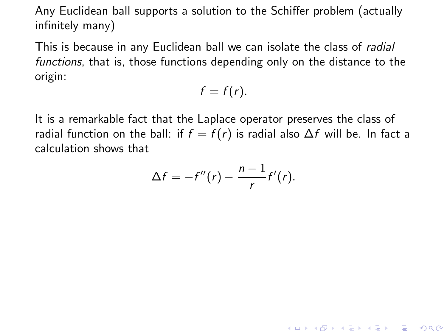This is because in any Euclidean ball we can isolate the class of radial functions, that is, those functions depending only on the distance to the origin:

$$
f=f(r).
$$

It is a remarkable fact that the Laplace operator preserves the class of radial function on the ball: if  $f = f(r)$  is radial also  $\Delta f$  will be. In fact a calculation shows that

$$
\Delta f = -f''(r) - \frac{n-1}{r}f'(r).
$$

K ロ ▶ K @ ▶ K 할 > K 할 > 1 할 > 1 이익어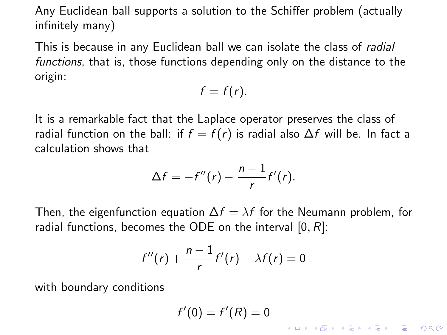This is because in any Euclidean ball we can isolate the class of radial functions, that is, those functions depending only on the distance to the origin:

$$
f=f(r).
$$

It is a remarkable fact that the Laplace operator preserves the class of radial function on the ball: if  $f = f(r)$  is radial also  $\Delta f$  will be. In fact a calculation shows that

$$
\Delta f = -f''(r) - \frac{n-1}{r}f'(r).
$$

Then, the eigenfunction equation  $\Delta f = \lambda f$  for the Neumann problem, for radial functions, becomes the ODE on the interval  $[0, R]$ :

$$
f''(r)+\frac{n-1}{r}f'(r)+\lambda f(r)=0
$$

with boundary conditions

$$
f'(0)=f'(R)=0
$$

K ロ ▶ K @ ▶ K 할 > K 할 > 1 할 > 1 이익어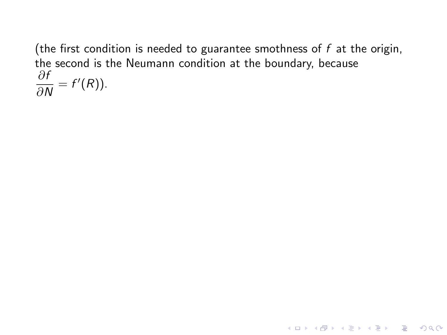(the first condition is needed to guarantee smothness of  $f$  at the origin, the second is the Neumann condition at the boundary, because ∂f  $\frac{\partial F}{\partial N} = f'(R)$ ).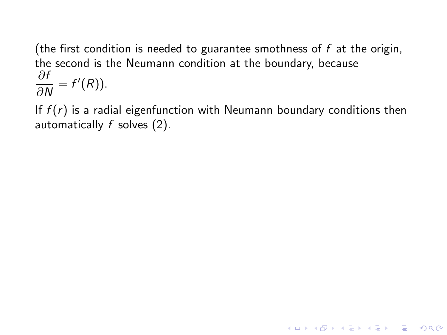(the first condition is needed to guarantee smothness of  $f$  at the origin, the second is the Neumann condition at the boundary, because ∂f  $\frac{\partial F}{\partial N} = f'(R)$ ).

If  $f(r)$  is a radial eigenfunction with Neumann boundary conditions then automatically  $f$  solves  $(2)$ .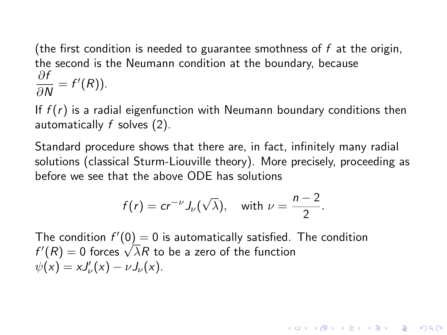(the first condition is needed to guarantee smothness of  $f$  at the origin, the second is the Neumann condition at the boundary, because ∂f  $\frac{\partial F}{\partial N} = f'(R)$ ).

If  $f(r)$  is a radial eigenfunction with Neumann boundary conditions then automatically f solves [\(2\)](#page-41-0).

Standard procedure shows that there are, in fact, infinitely many radial solutions (classical Sturm-Liouville theory). More precisely, proceeding as before we see that the above ODE has solutions

$$
f(r) = cr^{-\nu} J_{\nu}(\sqrt{\lambda}),
$$
 with  $\nu = \frac{n-2}{2}.$ 

**KORKAR KERKER EL VOLO** 

The condition  $f'(0) = 0$  is automatically satisfied. The condition The condition  $r'(0) = 0$  is automatically satisfied.<br> $f'(R) = 0$  forces  $\sqrt{\lambda}R$  to be a zero of the function  $\psi(x) = xJ_{\nu}'(x) - \nu J_{\nu}(x).$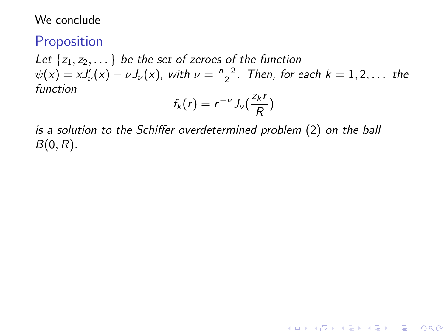### Proposition

Let  $\{z_1, z_2, \dots\}$  be the set of zeroes of the function  $\psi(x) = xJ_{\nu}'(x) - \nu J_{\nu}(x)$ , with  $\nu = \frac{n-2}{2}$ . Then, for each  $k = 1, 2, ...$  the function

$$
f_k(r)=r^{-\nu}J_{\nu}(\frac{z_kr}{R})
$$

**KORKA SERKER ORA** 

is a solution to the Schiffer overdetermined problem [\(2\)](#page-41-0) on the ball  $B(0,R)$ .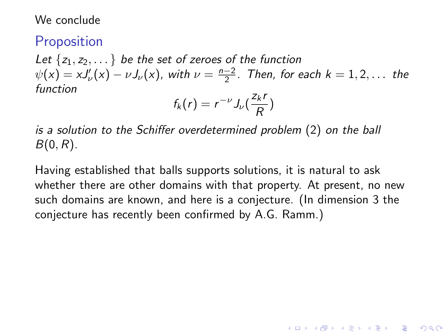### **Proposition**

Let  $\{z_1, z_2, \dots\}$  be the set of zeroes of the function  $\psi(x) = xJ_{\nu}'(x) - \nu J_{\nu}(x)$ , with  $\nu = \frac{n-2}{2}$ . Then, for each  $k = 1, 2, ...$  the function

$$
f_k(r)=r^{-\nu}J_{\nu}(\frac{z_kr}{R})
$$

is a solution to the Schiffer overdetermined problem [\(2\)](#page-41-0) on the ball  $B(0,R)$ .

Having established that balls supports solutions, it is natural to ask whether there are other domains with that property. At present, no new such domains are known, and here is a conjecture. (In dimension 3 the conjecture has recently been confirmed by A.G. Ramm.)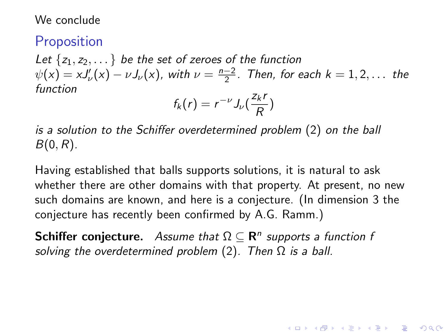### **Proposition**

Let  $\{z_1, z_2, \dots\}$  be the set of zeroes of the function  $\psi(x) = xJ_{\nu}'(x) - \nu J_{\nu}(x)$ , with  $\nu = \frac{n-2}{2}$ . Then, for each  $k = 1, 2, ...$  the function

$$
f_k(r)=r^{-\nu}J_{\nu}(\frac{z_kr}{R})
$$

is a solution to the Schiffer overdetermined problem [\(2\)](#page-41-0) on the ball  $B(0,R)$ .

Having established that balls supports solutions, it is natural to ask whether there are other domains with that property. At present, no new such domains are known, and here is a conjecture. (In dimension 3 the conjecture has recently been confirmed by A.G. Ramm.)

**KORKAR KERKER EL VOLO** 

**Schiffer conjecture.** Assume that  $\Omega \subseteq \mathbb{R}^n$  supports a function f solving the overdetermined problem  $(2)$ . Then  $\Omega$  is a ball.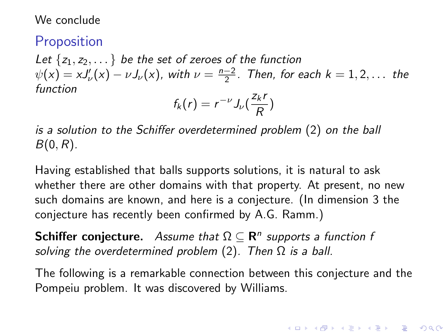### **Proposition**

Let  $\{z_1, z_2, \dots\}$  be the set of zeroes of the function  $\psi(x) = xJ_{\nu}'(x) - \nu J_{\nu}(x)$ , with  $\nu = \frac{n-2}{2}$ . Then, for each  $k = 1, 2, ...$  the function

$$
f_k(r)=r^{-\nu}J_{\nu}(\frac{z_kr}{R})
$$

is a solution to the Schiffer overdetermined problem [\(2\)](#page-41-0) on the ball  $B(0,R)$ .

Having established that balls supports solutions, it is natural to ask whether there are other domains with that property. At present, no new such domains are known, and here is a conjecture. (In dimension 3 the conjecture has recently been confirmed by A.G. Ramm.)

**Schiffer conjecture.** Assume that  $\Omega \subseteq \mathbb{R}^n$  supports a function f solving the overdetermined problem  $(2)$ . Then  $\Omega$  is a ball.

The following is a remarkable connection between this conjecture and the Pompeiu problem. It was discovered by Williams.

**KORKAR KERKER E VOOR**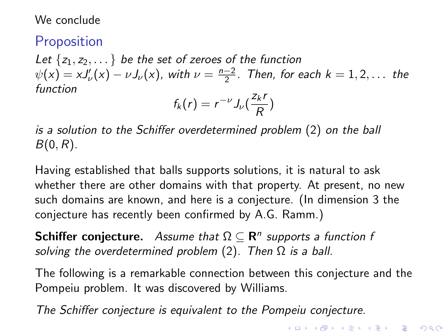### **Proposition**

Let  $\{z_1, z_2, \dots\}$  be the set of zeroes of the function  $\psi(x) = xJ_{\nu}'(x) - \nu J_{\nu}(x)$ , with  $\nu = \frac{n-2}{2}$ . Then, for each  $k = 1, 2, ...$  the function

$$
f_k(r)=r^{-\nu}J_{\nu}(\frac{z_kr}{R})
$$

is a solution to the Schiffer overdetermined problem [\(2\)](#page-41-0) on the ball  $B(0,R)$ .

Having established that balls supports solutions, it is natural to ask whether there are other domains with that property. At present, no new such domains are known, and here is a conjecture. (In dimension 3 the conjecture has recently been confirmed by A.G. Ramm.)

**Schiffer conjecture.** Assume that  $\Omega \subseteq \mathbb{R}^n$  supports a function f solving the overdetermined problem  $(2)$ . Then  $\Omega$  is a ball.

The following is a remarkable connection between this conjecture and the Pompeiu problem. It was discovered by Williams.

The Schiffer conjecture is equivalent to the Pompeiu conjecture.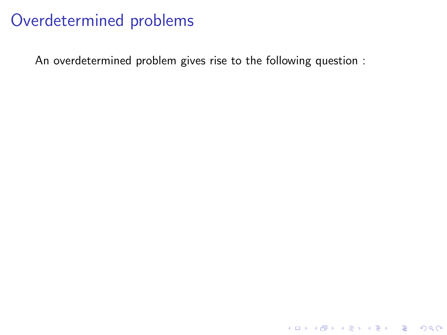An overdetermined problem gives rise to the following question :

K ロ ▶ K @ ▶ K 할 ▶ K 할 ▶ | 할 | ⊙Q @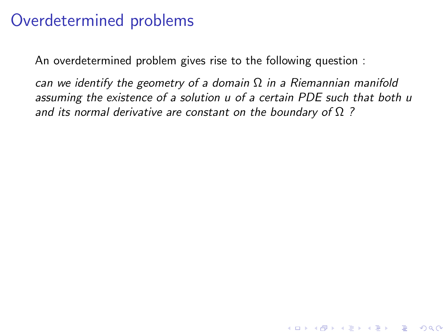An overdetermined problem gives rise to the following question :

can we identify the geometry of a domain  $\Omega$  in a Riemannian manifold assuming the existence of a solution u of a certain PDE such that both u and its normal derivative are constant on the boundary of  $\Omega$  ?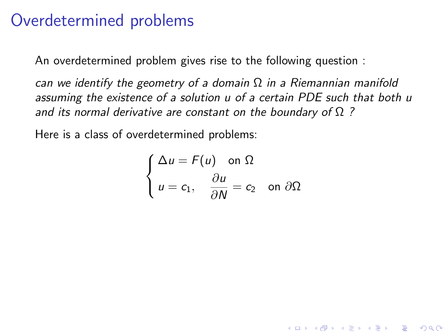An overdetermined problem gives rise to the following question :

can we identify the geometry of a domain  $\Omega$  in a Riemannian manifold assuming the existence of a solution u of a certain PDE such that both u and its normal derivative are constant on the boundary of  $\Omega$  ?

Here is a class of overdetermined problems:

$$
\begin{cases} \Delta u = F(u) \quad \text{on } \Omega \\ u = c_1, \quad \frac{\partial u}{\partial N} = c_2 \quad \text{on } \partial \Omega \end{cases}
$$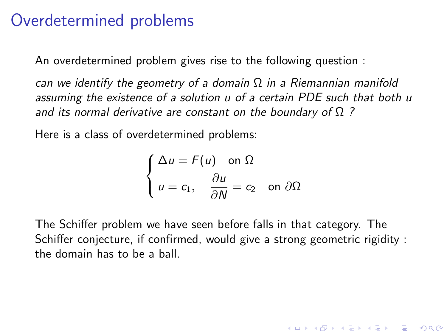An overdetermined problem gives rise to the following question :

can we identify the geometry of a domain  $\Omega$  in a Riemannian manifold assuming the existence of a solution u of a certain PDE such that both u and its normal derivative are constant on the boundary of  $\Omega$  ?

Here is a class of overdetermined problems:

$$
\begin{cases} \Delta u = F(u) \quad \text{on } \Omega \\ u = c_1, \quad \frac{\partial u}{\partial N} = c_2 \quad \text{on } \partial \Omega \end{cases}
$$

The Schiffer problem we have seen before falls in that category. The Schiffer conjecture, if confirmed, would give a strong geometric rigidity : the domain has to be a ball.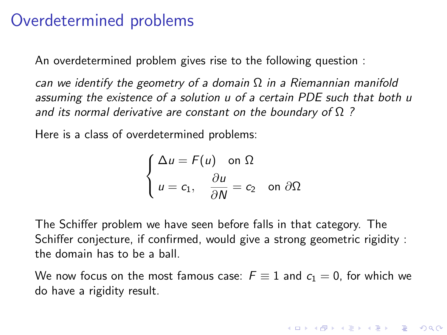An overdetermined problem gives rise to the following question :

can we identify the geometry of a domain  $\Omega$  in a Riemannian manifold assuming the existence of a solution u of a certain PDE such that both u and its normal derivative are constant on the boundary of  $\Omega$  ?

Here is a class of overdetermined problems:

$$
\begin{cases} \Delta u = F(u) \quad \text{on } \Omega \\ u = c_1, \quad \frac{\partial u}{\partial N} = c_2 \quad \text{on } \partial \Omega \end{cases}
$$

The Schiffer problem we have seen before falls in that category. The Schiffer conjecture, if confirmed, would give a strong geometric rigidity : the domain has to be a ball.

We now focus on the most famous case:  $F \equiv 1$  and  $c_1 = 0$ , for which we do have a rigidity result.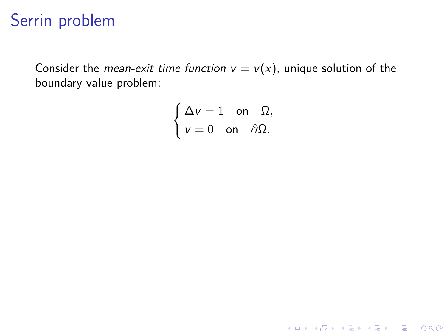# Serrin problem

Consider the *mean-exit time function*  $v = v(x)$ , unique solution of the boundary value problem:

$$
\begin{cases} \Delta v = 1 & \text{on } \Omega, \\ v = 0 & \text{on } \partial\Omega. \end{cases}
$$

<span id="page-61-0"></span>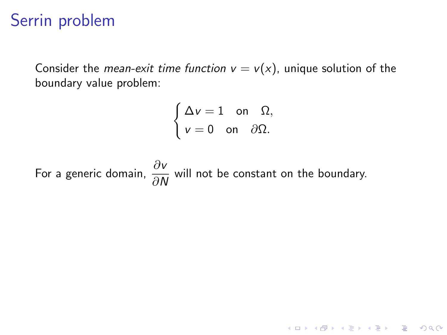# Serrin problem

Consider the *mean-exit time function*  $v = v(x)$ , unique solution of the boundary value problem:

$$
\begin{cases} \Delta v = 1 & \text{on } \Omega, \\ v = 0 & \text{on } \partial\Omega. \end{cases}
$$

KID KA KERKER E VOOR

For a generic domain,  $\frac{\partial v}{\partial N}$  will not be constant on the boundary.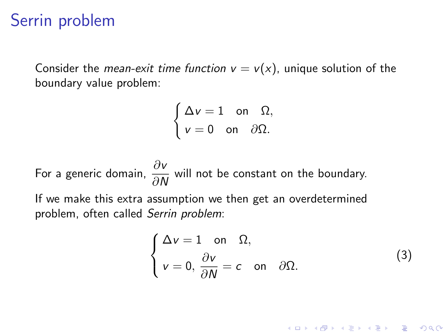## Serrin problem

Consider the *mean-exit time function*  $v = v(x)$ , unique solution of the boundary value problem:

$$
\begin{cases} \Delta v = 1 & \text{on } \Omega, \\ v = 0 & \text{on } \partial\Omega. \end{cases}
$$

For a generic domain,  $\frac{\partial v}{\partial N}$  will not be constant on the boundary. If we make this extra assumption we then get an overdetermined problem, often called Serrin problem:

$$
\begin{cases} \Delta v = 1 \quad \text{on} \quad \Omega, \\ v = 0, \frac{\partial v}{\partial N} = c \quad \text{on} \quad \partial \Omega. \end{cases}
$$
 (3)

**K ロ ▶ K @ ▶ K 할 X X 할 X 및 할 X X Q Q O**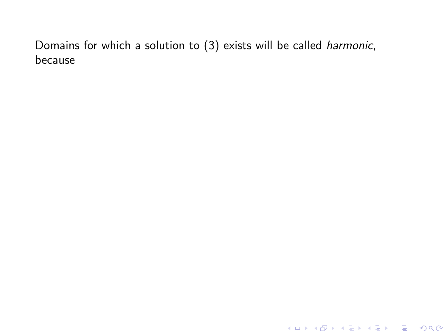**K ロ ▶ K 레 ▶ K 로 ▶ K 로 ▶ - 로 - K 이 이 이 이**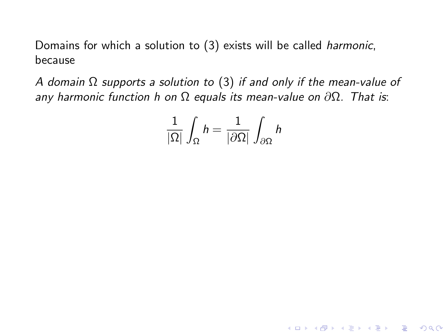A domain  $\Omega$  supports a solution to [\(3\)](#page-61-0) if and only if the mean-value of any harmonic function h on  $\Omega$  equals its mean-value on  $\partial\Omega$ . That is:

$$
\frac{1}{|\Omega|}\int_{\Omega} h = \frac{1}{|\partial \Omega|}\int_{\partial \Omega} h
$$

**KORK STRATER STRAKES**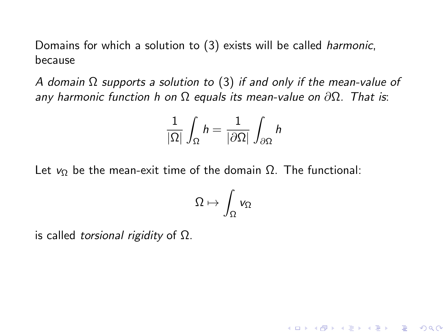A domain  $\Omega$  supports a solution to [\(3\)](#page-61-0) if and only if the mean-value of any harmonic function h on  $\Omega$  equals its mean-value on  $\partial\Omega$ . That is:

$$
\frac{1}{|\Omega|}\int_{\Omega} h = \frac{1}{|\partial \Omega|}\int_{\partial \Omega} h
$$

Let  $v_{\Omega}$  be the mean-exit time of the domain  $\Omega$ . The functional:

$$
\Omega\mapsto \int_\Omega v_\Omega
$$

**KORKA SERKER ORA** 

is called *torsional rigidity* of  $Ω$ .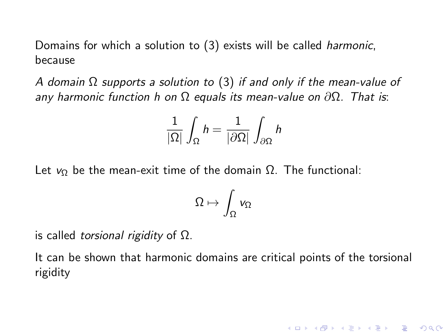A domain  $\Omega$  supports a solution to [\(3\)](#page-61-0) if and only if the mean-value of any harmonic function h on  $\Omega$  equals its mean-value on  $\partial\Omega$ . That is:

$$
\frac{1}{|\Omega|}\int_{\Omega} h = \frac{1}{|\partial \Omega|}\int_{\partial \Omega} h
$$

Let  $v_{\Omega}$  be the mean-exit time of the domain  $\Omega$ . The functional:

$$
\Omega\mapsto \int_\Omega v_\Omega
$$

is called *torsional rigidity* of  $Ω$ .

It can be shown that harmonic domains are critical points of the torsional rigidity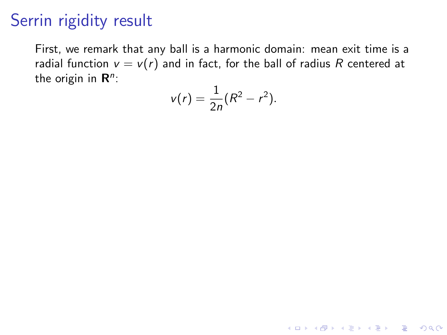First, we remark that any ball is a harmonic domain: mean exit time is a radial function  $v = v(r)$  and in fact, for the ball of radius R centered at the origin in  $\mathsf{R}^n$ :

$$
v(r)=\frac{1}{2n}(R^2-r^2).
$$

K ロ ▶ K @ ▶ K 할 ▶ K 할 ▶ | 할 | © 9 Q @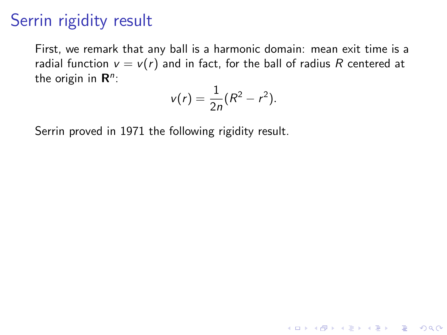First, we remark that any ball is a harmonic domain: mean exit time is a radial function  $v = v(r)$  and in fact, for the ball of radius R centered at the origin in  $\mathsf{R}^n$ :

$$
v(r)=\frac{1}{2n}(R^2-r^2).
$$

**K ロ ▶ K @ ▶ K 할 X X 할 X 및 할 X X Q Q O** 

Serrin proved in 1971 the following rigidity result.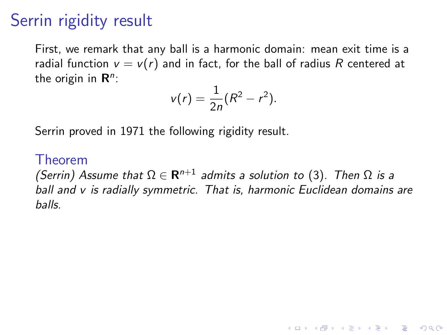First, we remark that any ball is a harmonic domain: mean exit time is a radial function  $v = v(r)$  and in fact, for the ball of radius R centered at the origin in  $\mathsf{R}^n$ :

$$
v(r)=\frac{1}{2n}(R^2-r^2).
$$

Serrin proved in 1971 the following rigidity result.

#### Theorem

(Serrin) Assume that  $\Omega \in \mathbf{R}^{n+1}$  admits a solution to [\(3\)](#page-61-0). Then  $\Omega$  is a ball and v is radially symmetric. That is, harmonic Euclidean domains are balls.

**KORKAR KERKER E VOOR**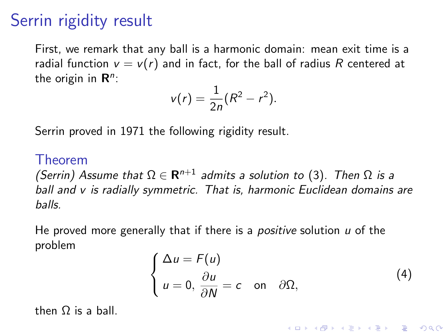First, we remark that any ball is a harmonic domain: mean exit time is a radial function  $v = v(r)$  and in fact, for the ball of radius R centered at the origin in  $\mathsf{R}^n$ :

$$
v(r)=\frac{1}{2n}(R^2-r^2).
$$

Serrin proved in 1971 the following rigidity result.

#### Theorem

(Serrin) Assume that  $\Omega \in \mathbf{R}^{n+1}$  admits a solution to [\(3\)](#page-61-0). Then  $\Omega$  is a ball and v is radially symmetric. That is, harmonic Euclidean domains are balls.

He proved more generally that if there is a *positive* solution  $u$  of the problem

$$
\begin{cases} \Delta u = F(u) \\ u = 0, \frac{\partial u}{\partial N} = c \quad \text{on} \quad \partial \Omega, \end{cases}
$$
 (4)

**KORKAR KERKER E VOOR** 

then Ω is a ball.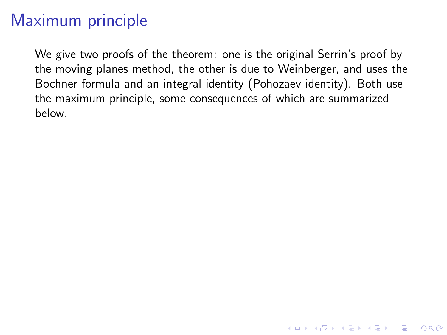# Maximum principle

We give two proofs of the theorem: one is the original Serrin's proof by the moving planes method, the other is due to Weinberger, and uses the Bochner formula and an integral identity (Pohozaev identity). Both use the maximum principle, some consequences of which are summarized below.

**K ロ ▶ K @ ▶ K 할 X X 할 X → 할 X → 9 Q Q ^**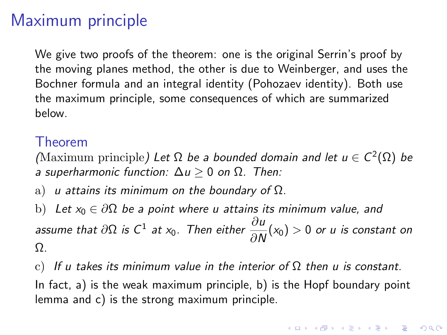## Maximum principle

We give two proofs of the theorem: one is the original Serrin's proof by the moving planes method, the other is due to Weinberger, and uses the Bochner formula and an integral identity (Pohozaev identity). Both use the maximum principle, some consequences of which are summarized below.

### Theorem

(Maximum principle) Let  $\Omega$  be a bounded domain and let  $u \in C^2(\Omega)$  be a superharmonic function:  $\Delta u \geq 0$  on  $\Omega$ . Then:

a) u attains its minimum on the boundary of  $\Omega$ .

b) Let  $x_0 \in \partial \Omega$  be a point where u attains its minimum value, and assume that  $\partial\Omega$  is C $^1$  at x<sub>0</sub>. Then either  $\dfrac{\partial u}{\partial N}(x_0)>0$  or  $u$  is constant on Ω.

c) If u takes its minimum value in the interior of  $\Omega$  then u is constant. In fact, a) is the weak maximum principle, b) is the Hopf boundary point lemma and c) is the strong maximum principle.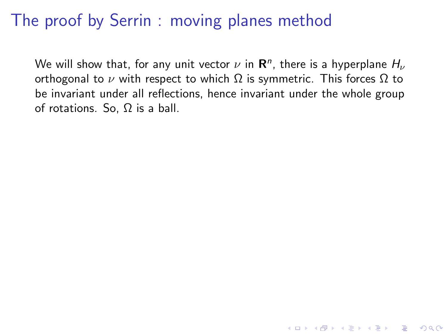We will show that, for any unit vector  $\nu$  in  ${\bf R}^n$ , there is a hyperplane  $H_\nu$ orthogonal to  $ν$  with respect to which  $Ω$  is symmetric. This forces  $Ω$  to be invariant under all reflections, hence invariant under the whole group of rotations. So, Ω is a ball.

K ロ ▶ K @ ▶ K 할 > K 할 > 1 할 > 1 이익어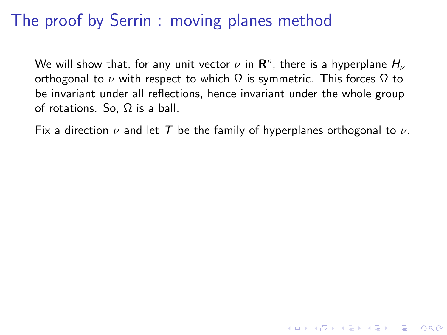We will show that, for any unit vector  $\nu$  in  ${\bf R}^n$ , there is a hyperplane  $H_\nu$ orthogonal to  $ν$  with respect to which  $Ω$  is symmetric. This forces  $Ω$  to be invariant under all reflections, hence invariant under the whole group of rotations. So, Ω is a ball.

Fix a direction  $\nu$  and let T be the family of hyperplanes orthogonal to  $\nu$ .

**KORKA SERKER ORA**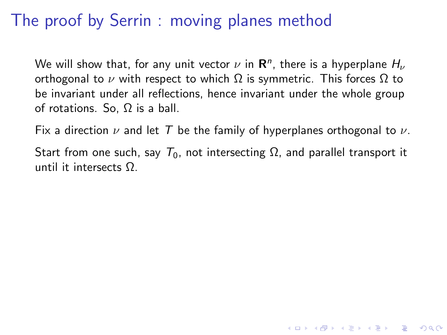We will show that, for any unit vector  $\nu$  in  ${\bf R}^n$ , there is a hyperplane  $H_\nu$ orthogonal to  $ν$  with respect to which  $Ω$  is symmetric. This forces  $Ω$  to be invariant under all reflections, hence invariant under the whole group of rotations. So, Ω is a ball.

Fix a direction  $\nu$  and let T be the family of hyperplanes orthogonal to  $\nu$ .

Start from one such, say  $T_0$ , not intersecting  $\Omega$ , and parallel transport it until it intersects Ω.

**KORKA SERKER ORA**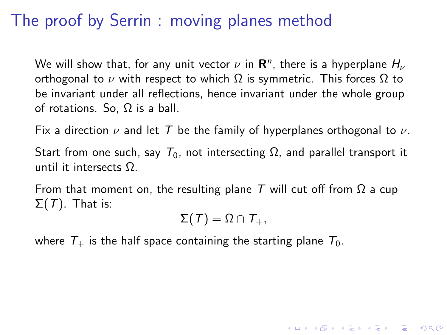We will show that, for any unit vector  $\nu$  in  ${\bf R}^n$ , there is a hyperplane  $H_\nu$ orthogonal to  $ν$  with respect to which  $Ω$  is symmetric. This forces  $Ω$  to be invariant under all reflections, hence invariant under the whole group of rotations. So, Ω is a ball.

Fix a direction  $\nu$  and let T be the family of hyperplanes orthogonal to  $\nu$ .

Start from one such, say  $T_0$ , not intersecting  $\Omega$ , and parallel transport it until it intersects Ω.

From that moment on, the resulting plane T will cut off from  $\Omega$  a cup  $\Sigma(T)$ . That is:

 $\Sigma(T) = \Omega \cap T_+,$ 

4 D > 4 P + 4 B + 4 B + B + 9 Q O

where  $T_{+}$  is the half space containing the starting plane  $T_{0}$ .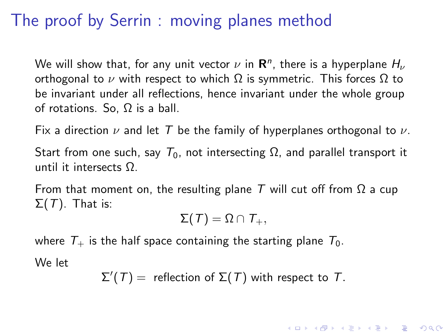We will show that, for any unit vector  $\nu$  in  ${\bf R}^n$ , there is a hyperplane  $H_\nu$ orthogonal to  $ν$  with respect to which  $Ω$  is symmetric. This forces  $Ω$  to be invariant under all reflections, hence invariant under the whole group of rotations. So, Ω is a ball.

Fix a direction  $\nu$  and let T be the family of hyperplanes orthogonal to  $\nu$ .

Start from one such, say  $T_0$ , not intersecting  $\Omega$ , and parallel transport it until it intersects Ω.

From that moment on, the resulting plane T will cut off from  $\Omega$  a cup  $\Sigma(T)$ . That is:

 $\Sigma(T) = \Omega \cap T_+,$ 

where  $T_{+}$  is the half space containing the starting plane  $T_{0}$ .

We let

$$
\Sigma'(T) =
$$
 reflection of  $\Sigma(T)$  with respect to T.

**KORKAR KERKER E VOOR**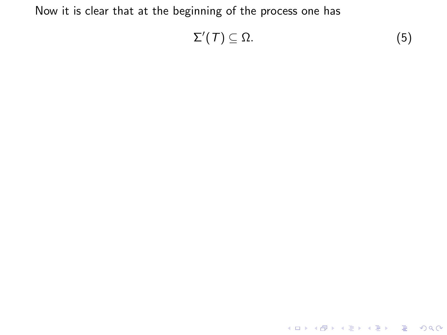<span id="page-79-0"></span>
$$
\Sigma'(T) \subseteq \Omega. \tag{5}
$$

K ロ ▶ K @ ▶ K 할 ▶ K 할 ▶ | 할 | 2000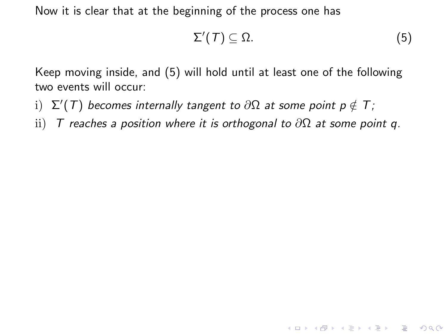$$
\Sigma'(T) \subseteq \Omega. \tag{5}
$$

**K ロ ▶ K @ ▶ K 할 X X 할 X 및 할 X X Q Q O** 

Keep moving inside, and [\(5\)](#page-79-0) will hold until at least one of the following two events will occur:

- $\mathrm{i)}$   $\Sigma'(T)$  becomes internally tangent to  $\partial \Omega$  at some point  $p \notin T;$
- ii) T reaches a position where it is orthogonal to  $\partial\Omega$  at some point q.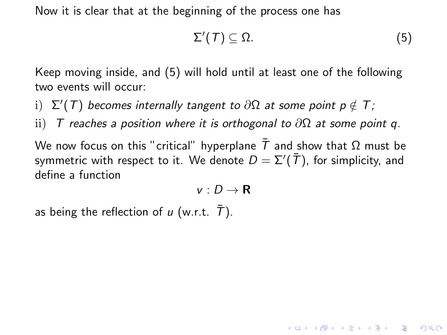$$
\Sigma'(T) \subseteq \Omega. \tag{5}
$$

**KORKA SERKER ORA** 

Keep moving inside, and [\(5\)](#page-79-0) will hold until at least one of the following two events will occur:

- $\mathrm{i)}$   $\Sigma'(T)$  becomes internally tangent to  $\partial \Omega$  at some point  $p \notin T;$
- ii) T reaches a position where it is orthogonal to  $\partial\Omega$  at some point q.

We now focus on this "critical" hyperplane  $\bar{T}$  and show that  $\Omega$  must be symmetric with respect to it. We denote  $D=\Sigma'({\bar T})$ , for simplicity, and define a function

$$
v:D\to\mathbf{R}
$$

as being the reflection of u (w.r.t.  $\bar{T}$ ).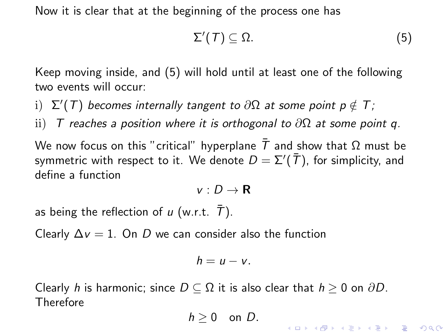$$
\Sigma'(T) \subseteq \Omega. \tag{5}
$$

**KORKAR KERKER E VOOR** 

Keep moving inside, and [\(5\)](#page-79-0) will hold until at least one of the following two events will occur:

- $\mathrm{i)}$   $\Sigma'(T)$  becomes internally tangent to  $\partial \Omega$  at some point  $p \notin T;$
- ii) T reaches a position where it is orthogonal to  $\partial\Omega$  at some point q.

We now focus on this "critical" hyperplane  $\bar{T}$  and show that  $\Omega$  must be symmetric with respect to it. We denote  $D=\Sigma'({\bar T})$ , for simplicity, and define a function

$$
v:D\to\mathbf{R}
$$

as being the reflection of u (w.r.t.  $\bar{T}$ ).

Clearly  $\Delta v = 1$ . On D we can consider also the function

$$
h=u-v.
$$

Clearly h is harmonic; since  $D \subseteq \Omega$  it is also clear that  $h \geq 0$  on  $\partial D$ . Therefore

 $h > 0$  on D.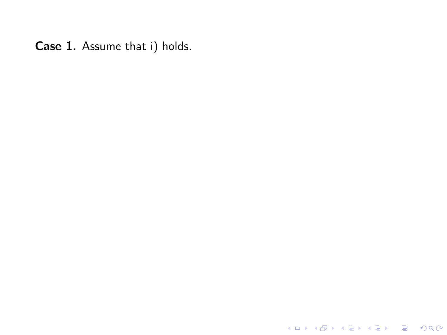**K ロ ▶ K 레 ▶ K 로 ▶ K 로 ▶ - 로 - K 이 이 이 이**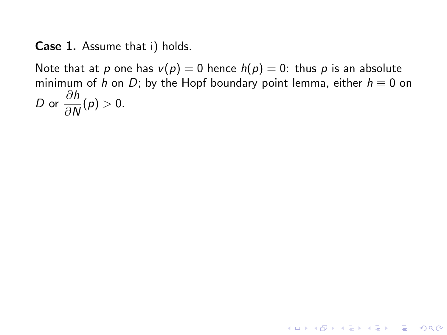Note that at p one has  $v(p) = 0$  hence  $h(p) = 0$ : thus p is an absolute minimum of h on D; by the Hopf boundary point lemma, either  $h \equiv 0$  on D or  $\frac{\partial h}{\partial x}$  $\frac{\partial n}{\partial N}(p) > 0.$ 

**K ロ ▶ K @ ▶ K 할 X X 할 X 및 할 X X Q Q O**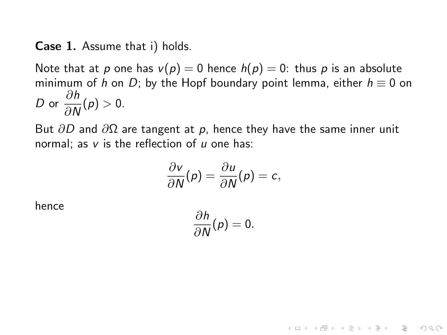Note that at p one has  $v(p) = 0$  hence  $h(p) = 0$ : thus p is an absolute minimum of h on D; by the Hopf boundary point lemma, either  $h \equiv 0$  on D or  $\frac{\partial h}{\partial x}$  $\frac{\partial n}{\partial N}(p) > 0.$ 

But  $\partial D$  and  $\partial \Omega$  are tangent at p, hence they have the same inner unit normal; as  $v$  is the reflection of  $u$  one has:

$$
\frac{\partial v}{\partial N}(p) = \frac{\partial u}{\partial N}(p) = c,
$$

hence

$$
\frac{\partial h}{\partial N}(\rho)=0.
$$

**KORKA SERKER ORA**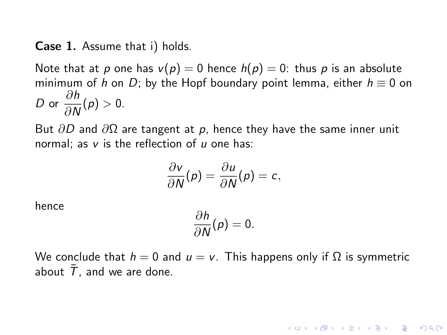Note that at p one has  $v(p) = 0$  hence  $h(p) = 0$ : thus p is an absolute minimum of h on D; by the Hopf boundary point lemma, either  $h \equiv 0$  on D or  $\frac{\partial h}{\partial x}$  $\frac{\partial n}{\partial N}(p) > 0.$ 

But  $\partial D$  and  $\partial \Omega$  are tangent at p, hence they have the same inner unit normal; as  $v$  is the reflection of  $u$  one has:

$$
\frac{\partial v}{\partial N}(p) = \frac{\partial u}{\partial N}(p) = c,
$$

hence

$$
\frac{\partial h}{\partial N}(\rho)=0.
$$

We conclude that  $h = 0$  and  $u = v$ . This happens only if  $\Omega$  is symmetric about  $\bar{T}$ , and we are done.

**KORKAR KERKER EL VOLO**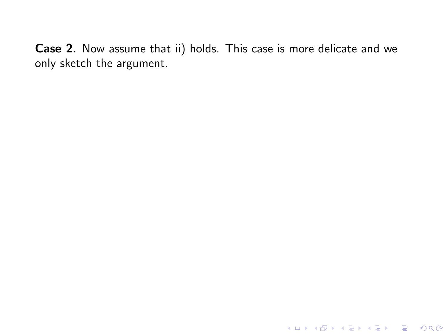K ロ ▶ K @ ▶ K 할 ▶ K 할 ▶ | 할 | 2000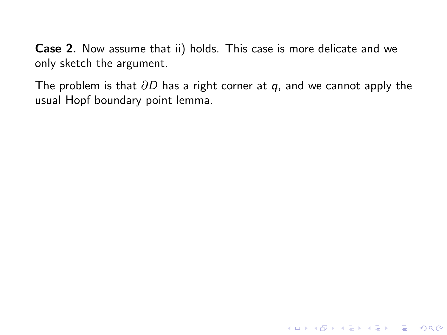The problem is that  $\partial D$  has a right corner at q, and we cannot apply the usual Hopf boundary point lemma.

KO KKOK KEK KEK LE I DAG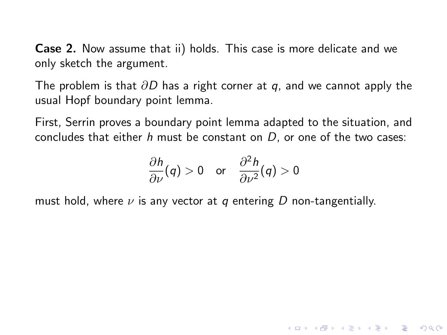The problem is that  $\partial D$  has a right corner at q, and we cannot apply the usual Hopf boundary point lemma.

First, Serrin proves a boundary point lemma adapted to the situation, and concludes that either  $h$  must be constant on  $D$ , or one of the two cases:

$$
\frac{\partial h}{\partial \nu}(q) > 0 \quad \text{or} \quad \frac{\partial^2 h}{\partial \nu^2}(q) > 0
$$

**KORK STRATER STRAKER** 

must hold, where  $\nu$  is any vector at q entering D non-tangentially.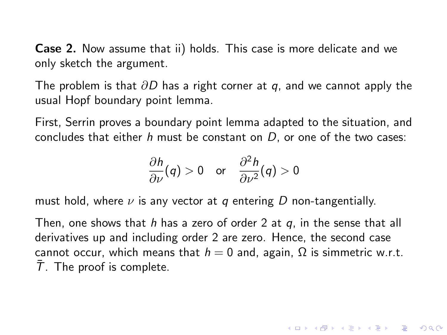The problem is that  $\partial D$  has a right corner at q, and we cannot apply the usual Hopf boundary point lemma.

First, Serrin proves a boundary point lemma adapted to the situation, and concludes that either  $h$  must be constant on  $D$ , or one of the two cases:

$$
\frac{\partial h}{\partial \nu}(q) > 0 \quad \text{or} \quad \frac{\partial^2 h}{\partial \nu^2}(q) > 0
$$

must hold, where  $\nu$  is any vector at q entering D non-tangentially.

Then, one shows that h has a zero of order 2 at  $q$ , in the sense that all derivatives up and including order 2 are zero. Hence, the second case cannot occur, which means that  $h = 0$  and, again,  $\Omega$  is simmetric w.r.t.  $T$ . The proof is complete.

**KORKAR KERKER E VOOR**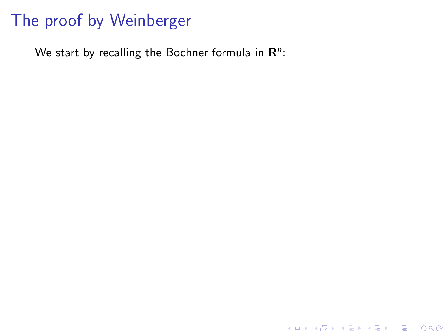## The proof by Weinberger

We start by recalling the Bochner formula in  $\mathbb{R}^n$ :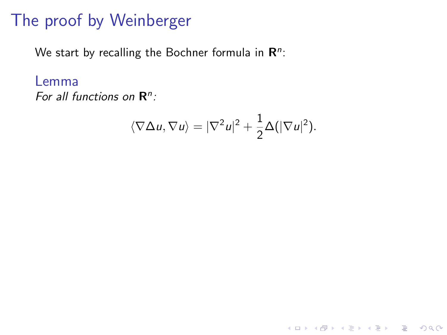### The proof by Weinberger

We start by recalling the Bochner formula in  $\mathbb{R}^n$ :

Lemma

For all functions on  $\mathbb{R}^n$ :

$$
\langle \nabla \Delta u, \nabla u \rangle = |\nabla^2 u|^2 + \frac{1}{2} \Delta (|\nabla u|^2).
$$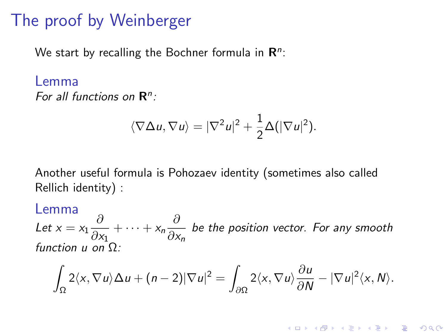### The proof by Weinberger

We start by recalling the Bochner formula in  $\mathbb{R}^n$ :

### Lemma For all functions on  $\mathbb{R}^n$ :

$$
\langle \nabla \Delta u, \nabla u \rangle = |\nabla^2 u|^2 + \frac{1}{2} \Delta (|\nabla u|^2).
$$

Another useful formula is Pohozaev identity (sometimes also called Rellich identity) :

### Lemma

Let  $x = x_1 \frac{\partial}{\partial x}$  $\frac{\partial}{\partial x_1} + \cdots + x_n \frac{\partial}{\partial x_n}$  $\frac{\sigma}{\partial x_n}$  be the position vector. For any smooth function  $\mu$  on  $\Omega$ :

$$
\int_{\Omega} 2\langle x, \nabla u \rangle \Delta u + (n-2) |\nabla u|^2 = \int_{\partial \Omega} 2\langle x, \nabla u \rangle \frac{\partial u}{\partial N} - |\nabla u|^2 \langle x, N \rangle.
$$

KID KA KERKER KID KO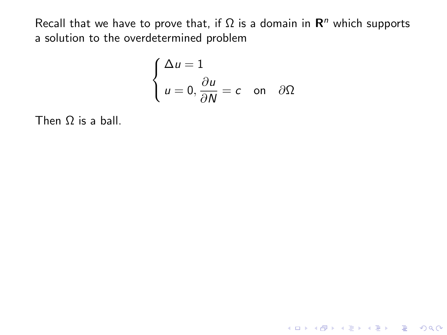$$
\begin{cases} \Delta u = 1 \\ u = 0, \frac{\partial u}{\partial N} = c \quad \text{on} \quad \partial \Omega \end{cases}
$$

K ロ ▶ K @ ▶ K 할 ▶ K 할 ▶ | 할 | © 9 Q @

Then  $\Omega$  is a ball.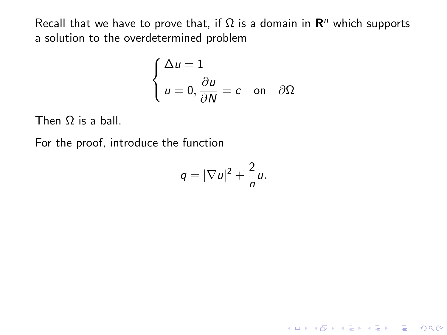$$
\begin{cases} \Delta u = 1 \\ u = 0, \frac{\partial u}{\partial N} = c \quad \text{on} \quad \partial \Omega \end{cases}
$$

Then Ω is a ball.

For the proof, introduce the function

$$
q=|\nabla u|^2+\frac{2}{n}u.
$$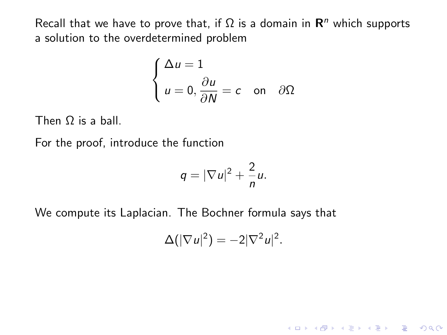$$
\begin{cases} \Delta u = 1 \\ u = 0, \frac{\partial u}{\partial N} = c \quad \text{on} \quad \partial \Omega \end{cases}
$$

Then Ω is a ball.

For the proof, introduce the function

$$
q=|\nabla u|^2+\frac{2}{n}u.
$$

We compute its Laplacian. The Bochner formula says that

$$
\Delta(|\nabla u|^2) = -2|\nabla^2 u|^2.
$$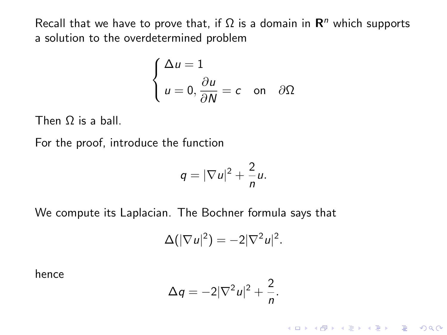$$
\begin{cases} \Delta u = 1 \\ u = 0, \frac{\partial u}{\partial N} = c \quad \text{on} \quad \partial \Omega \end{cases}
$$

Then Ω is a ball.

For the proof, introduce the function

$$
q=|\nabla u|^2+\frac{2}{n}u.
$$

We compute its Laplacian. The Bochner formula says that

$$
\Delta(|\nabla u|^2) = -2|\nabla^2 u|^2.
$$

hence

$$
\Delta q = -2|\nabla^2 u|^2 + \frac{2}{n}.
$$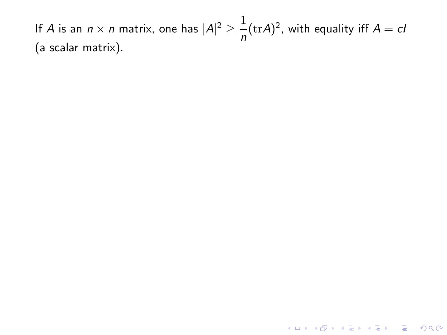<span id="page-98-0"></span>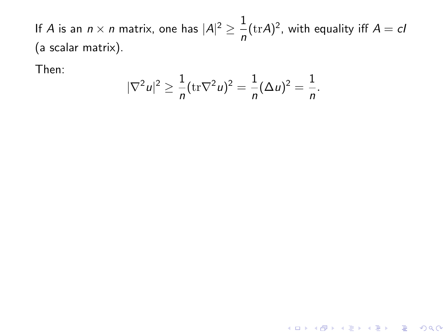Then:

$$
|\nabla^2 u|^2 \ge \frac{1}{n} (\text{tr}\nabla^2 u)^2 = \frac{1}{n} (\Delta u)^2 = \frac{1}{n}.
$$

KID KA KERKER E VOOR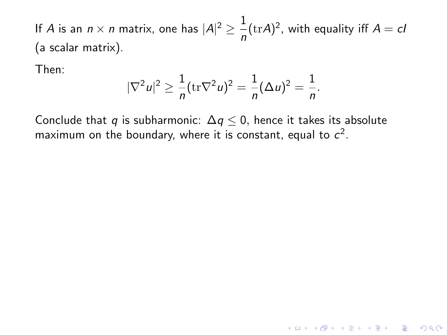Then:

$$
|\nabla^2 u|^2 \ge \frac{1}{n} (\text{tr}\nabla^2 u)^2 = \frac{1}{n} (\Delta u)^2 = \frac{1}{n}.
$$

**K ロ ▶ K @ ▶ K 할 X X 할 X 및 할 X X Q Q O** 

Conclude that q is subharmonic:  $\Delta q \leq 0$ , hence it takes its absolute maximum on the boundary, where it is constant, equal to  $c^2$ .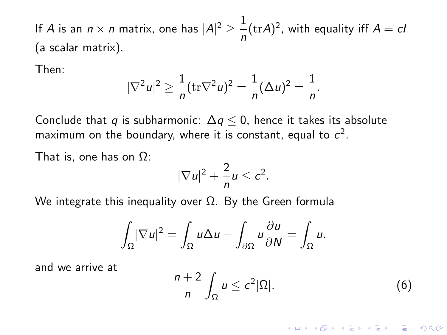<span id="page-101-0"></span>Then:

$$
|\nabla^2 u|^2 \ge \frac{1}{n} (\text{tr}\nabla^2 u)^2 = \frac{1}{n} (\Delta u)^2 = \frac{1}{n}.
$$

Conclude that q is subharmonic:  $\Delta q \leq 0$ , hence it takes its absolute maximum on the boundary, where it is constant, equal to  $c^2$ .

That is, one has on  $\Omega$ :

$$
|\nabla u|^2+\frac{2}{n}u\leq c^2.
$$

We integrate this inequality over  $Ω$ . By the Green formula

$$
\int_{\Omega} |\nabla u|^2 = \int_{\Omega} u \Delta u - \int_{\partial \Omega} u \frac{\partial u}{\partial N} = \int_{\Omega} u.
$$

and we arrive at

$$
\frac{n+2}{n}\int_{\Omega}u\leq c^2|\Omega|.\tag{6}
$$

**KORKAR KERKER E VOOR**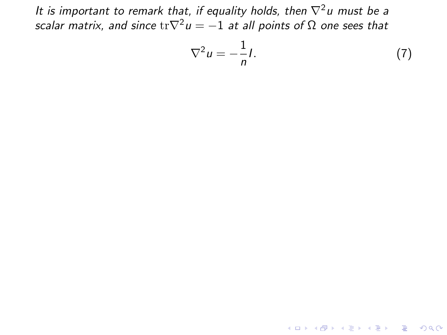<span id="page-102-1"></span><span id="page-102-0"></span>
$$
\nabla^2 u = -\frac{1}{n}I. \tag{7}
$$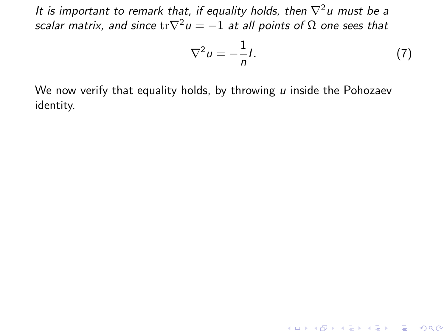$$
\nabla^2 u = -\frac{1}{n}I. \tag{7}
$$

We now verify that equality holds, by throwing  $u$  inside the Pohozaev identity.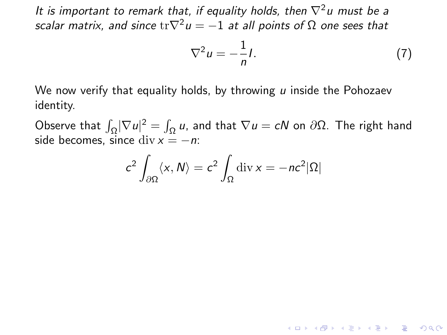$$
\nabla^2 u = -\frac{1}{n}I. \tag{7}
$$

**K ロ ▶ K @ ▶ K 할 X X 할 X 및 할 X X Q Q O** 

We now verify that equality holds, by throwing  $u$  inside the Pohozaev identity.

Observe that  $\int_{\Omega} |\nabla u|^2 = \int_{\Omega} u$ , and that  $\nabla u = cN$  on  $\partial \Omega$ . The right hand side becomes, since div  $x = -n$ :

$$
c^2 \int_{\partial \Omega} \langle x, N \rangle = c^2 \int_{\Omega} \operatorname{div} x = -nc^2 |\Omega|
$$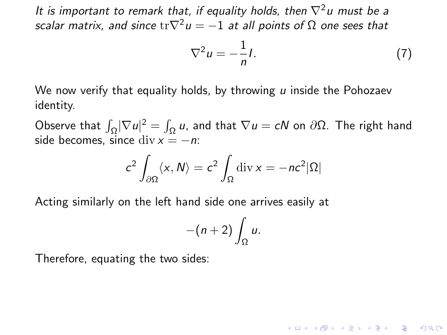$$
\nabla^2 u = -\frac{1}{n}I. \tag{7}
$$

**K ロ ▶ K @ ▶ K 할 X X 할 X 및 할 X X Q Q O** 

<span id="page-105-0"></span>We now verify that equality holds, by throwing  $\mu$  inside the Pohozaev identity.

Observe that  $\int_{\Omega} |\nabla u|^2 = \int_{\Omega} u$ , and that  $\nabla u = cN$  on  $\partial \Omega$ . The right hand side becomes, since div  $x = -n$ :

$$
c^2 \int_{\partial \Omega} \langle x, N \rangle = c^2 \int_{\Omega} \operatorname{div} x = -nc^2 |\Omega|
$$

Acting similarly on the left hand side one arrives easily at

$$
-(n+2)\int_{\Omega}u.
$$

Therefore, equating the two sides: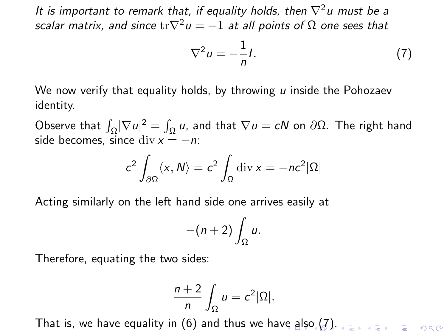$$
\nabla^2 u = -\frac{1}{n}I. \tag{7}
$$

<span id="page-106-0"></span>We now verify that equality holds, by throwing  $u$  inside the Pohozaev identity.

Observe that  $\int_{\Omega} |\nabla u|^2 = \int_{\Omega} u$ , and that  $\nabla u = cN$  on  $\partial \Omega$ . The right hand side becomes, since div  $x = -n$ :

$$
c^2 \int_{\partial \Omega} \langle x, N \rangle = c^2 \int_{\Omega} \operatorname{div} x = -nc^2 |\Omega|
$$

Acting similarly on the left hand side one arrives easily at

$$
-(n+2)\int_{\Omega}u.
$$

Therefore, equating the two sides:

$$
\frac{n+2}{n}\int_{\Omega}u=c^2|\Omega|.
$$

That is, we have equality in [\(6\)](#page-98-0) and thus we ha[ve](#page-105-0) a[lso](#page-107-0) [\(](#page-102-0)[7](#page-102-1)[\).](#page-107-0)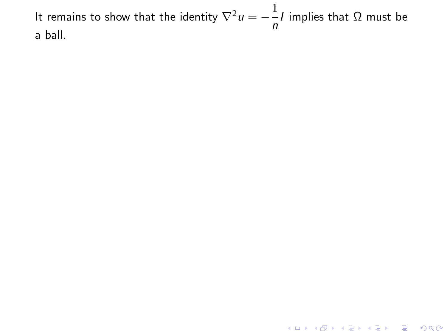<span id="page-107-0"></span>It remains to show that the identity  $\nabla^2 u = -\frac{1}{x}$  $\bar{ }$ −1 implies that Ω must be<br>*n* a ball.

**K ロ ▶ K 레 ▶ K 코 ▶ K 코 ▶ 『코』 ◆ 9 Q @**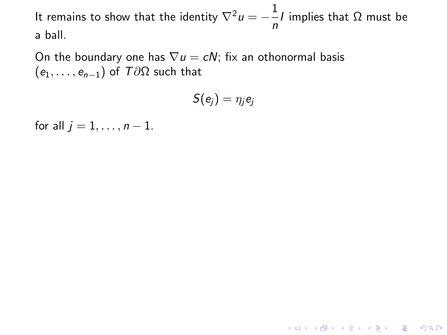On the boundary one has  $\nabla u = cN$ ; fix an othonormal basis  $(e_1, \ldots, e_{n-1})$  of  $T\partial\Omega$  such that

$$
S(e_j)=\eta_j e_j
$$

K □ ▶ K @ ▶ K 할 X K 할 X T 할 X 1 9 Q Q \*

for all  $j = 1, \ldots, n - 1$ .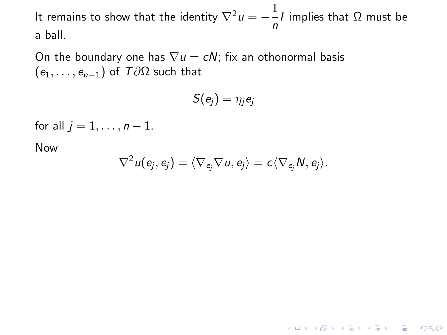On the boundary one has  $\nabla u = cN$ ; fix an othonormal basis  $(e_1, \ldots, e_{n-1})$  of  $T\partial\Omega$  such that

$$
S(e_j)=\eta_j e_j
$$

for all  $i = 1, \ldots, n - 1$ .

Now

$$
\nabla^2 u(e_j,e_j) = \langle \nabla_{e_j} \nabla u, e_j \rangle = c \langle \nabla_{e_j} N, e_j \rangle.
$$

K □ ▶ K @ ▶ K 할 X K 할 X T 할 X 1 9 Q Q \*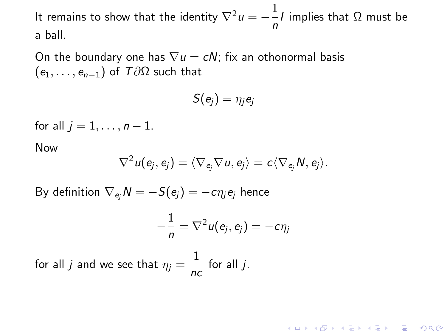On the boundary one has  $\nabla u = cN$ ; fix an othonormal basis  $(e_1, \ldots, e_{n-1})$  of  $T\partial\Omega$  such that

$$
S(e_j)=\eta_j e_j
$$

for all  $i = 1, \ldots, n - 1$ .

Now

$$
\nabla^2 u(e_j,e_j) = \langle \nabla_{e_j} \nabla u, e_j \rangle = c \langle \nabla_{e_j} N, e_j \rangle.
$$

By definition  $\nabla_{e_i} N = -S(e_i) = -c\eta_i e_i$  hence

$$
-\frac{1}{n} = \nabla^2 u(e_j, e_j) = -c\eta_j
$$

for all  $j$  and we see that  $\eta_j = \frac{1}{n}$  $\frac{1}{nc}$  for all *j*.